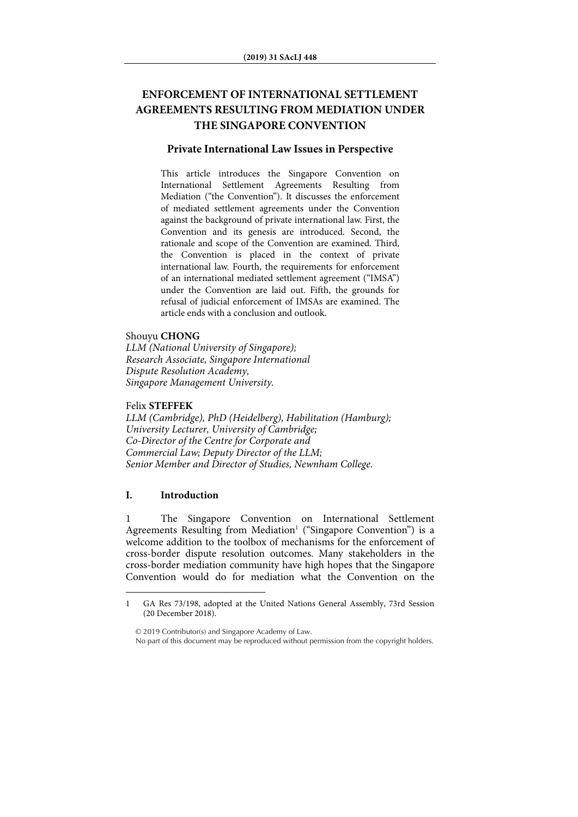# **ENFORCEMENT OF INTERNATIONAL SETTLEMENT AGREEMENTS RESULTING FROM MEDIATION UNDER THE SINGAPORE CONVENTION**

## **Private International Law Issues in Perspective**

This article introduces the Singapore Convention on International Settlement Agreements Resulting from Mediation ("the Convention"). It discusses the enforcement of mediated settlement agreements under the Convention against the background of private international law. First, the Convention and its genesis are introduced. Second, the rationale and scope of the Convention are examined. Third, the Convention is placed in the context of private international law. Fourth, the requirements for enforcement of an international mediated settlement agreement ("IMSA") under the Convention are laid out. Fifth, the grounds for refusal of judicial enforcement of IMSAs are examined. The article ends with a conclusion and outlook.

#### Shouyu **CHONG**

*LLM (National University of Singapore); Research Associate, Singapore International Dispute Resolution Academy, Singapore Management University.* 

## Felix **STEFFEK**

*LLM (Cambridge), PhD (Heidelberg), Habilitation (Hamburg); University Lecturer, University of Cambridge; Co-Director of the Centre for Corporate and Commercial Law; Deputy Director of the LLM; Senior Member and Director of Studies, Newnham College.* 

## **I. Introduction**

1

1 The Singapore Convention on International Settlement Agreements Resulting from Mediation<sup>1</sup> ("Singapore Convention") is a welcome addition to the toolbox of mechanisms for the enforcement of cross-border dispute resolution outcomes. Many stakeholders in the cross-border mediation community have high hopes that the Singapore Convention would do for mediation what the Convention on the

© 2019 Contributor(s) and Singapore Academy of Law. No part of this document may be reproduced without permission from the copyright holders.

<sup>1</sup> GA Res 73/198, adopted at the United Nations General Assembly, 73rd Session (20 December 2018).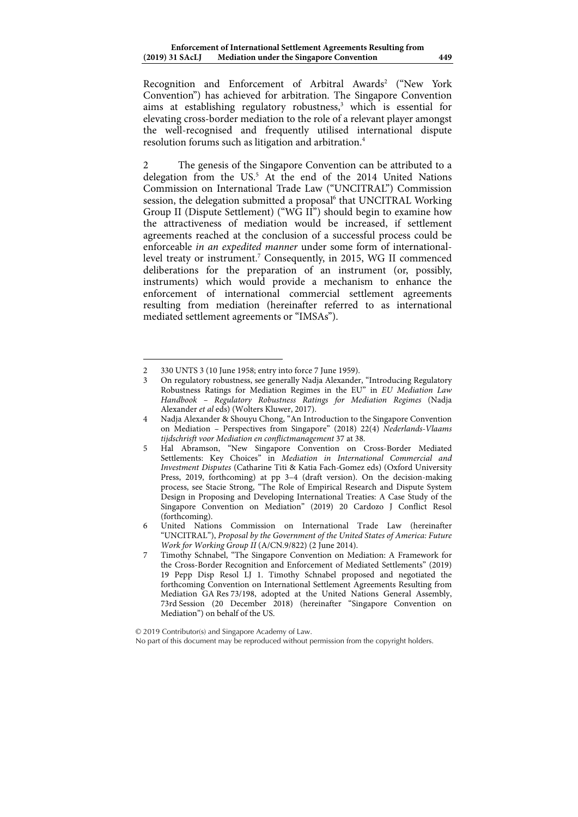Recognition and Enforcement of Arbitral Awards<sup>2</sup> ("New York Convention") has achieved for arbitration. The Singapore Convention aims at establishing regulatory robustness,<sup>3</sup> which is essential for elevating cross-border mediation to the role of a relevant player amongst the well-recognised and frequently utilised international dispute resolution forums such as litigation and arbitration.4

2 The genesis of the Singapore Convention can be attributed to a delegation from the US.<sup>5</sup> At the end of the 2014 United Nations Commission on International Trade Law ("UNCITRAL") Commission session, the delegation submitted a proposal<sup>6</sup> that UNCITRAL Working Group II (Dispute Settlement) ("WG II") should begin to examine how the attractiveness of mediation would be increased, if settlement agreements reached at the conclusion of a successful process could be enforceable *in an expedited manner* under some form of internationallevel treaty or instrument.<sup>7</sup> Consequently, in 2015, WG II commenced deliberations for the preparation of an instrument (or, possibly, instruments) which would provide a mechanism to enhance the enforcement of international commercial settlement agreements resulting from mediation (hereinafter referred to as international mediated settlement agreements or "IMSAs").

<sup>2 330</sup> UNTS 3 (10 June 1958; entry into force 7 June 1959).

<sup>3</sup> On regulatory robustness, see generally Nadja Alexander, "Introducing Regulatory Robustness Ratings for Mediation Regimes in the EU" in *EU Mediation Law Handbook – Regulatory Robustness Ratings for Mediation Regimes* (Nadja Alexander *et al* eds) (Wolters Kluwer, 2017).

<sup>4</sup> Nadja Alexander & Shouyu Chong, "An Introduction to the Singapore Convention on Mediation – Perspectives from Singapore" (2018) 22(4) *Nederlands-Vlaams tijdschrisft voor Mediation en conflictmanagement* 37 at 38.

<sup>5</sup> Hal Abramson, "New Singapore Convention on Cross-Border Mediated Settlements: Key Choices" in *Mediation in International Commercial and Investment Disputes* (Catharine Titi & Katia Fach-Gomez eds) (Oxford University Press, 2019, forthcoming) at pp 3–4 (draft version). On the decision-making process, see Stacie Strong, "The Role of Empirical Research and Dispute System Design in Proposing and Developing International Treaties: A Case Study of the Singapore Convention on Mediation" (2019) 20 Cardozo J Conflict Resol (forthcoming).

<sup>6</sup> United Nations Commission on International Trade Law (hereinafter "UNCITRAL"), *Proposal by the Government of the United States of America: Future Work for Working Group II* (A/CN.9/822) (2 June 2014).

<sup>7</sup> Timothy Schnabel, "The Singapore Convention on Mediation: A Framework for the Cross-Border Recognition and Enforcement of Mediated Settlements" (2019) 19 Pepp Disp Resol LJ 1. Timothy Schnabel proposed and negotiated the forthcoming Convention on International Settlement Agreements Resulting from Mediation GA Res 73/198, adopted at the United Nations General Assembly, 73rd Session (20 December 2018) (hereinafter "Singapore Convention on Mediation") on behalf of the US.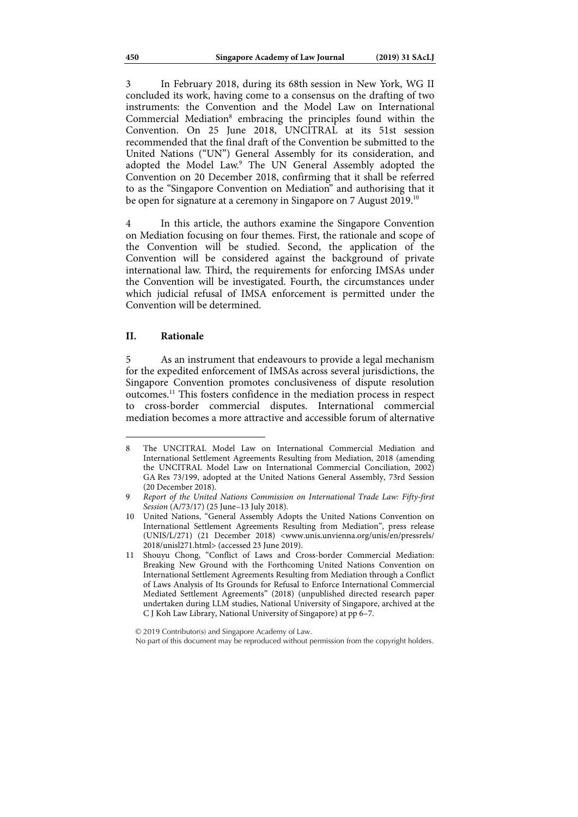3 In February 2018, during its 68th session in New York, WG II concluded its work, having come to a consensus on the drafting of two instruments: the Convention and the Model Law on International Commercial Mediation<sup>8</sup> embracing the principles found within the Convention. On 25 June 2018, UNCITRAL at its 51st session recommended that the final draft of the Convention be submitted to the United Nations ("UN") General Assembly for its consideration, and adopted the Model Law.<sup>9</sup> The UN General Assembly adopted the Convention on 20 December 2018, confirming that it shall be referred to as the "Singapore Convention on Mediation" and authorising that it be open for signature at a ceremony in Singapore on 7 August 2019.<sup>10</sup>

4 In this article, the authors examine the Singapore Convention on Mediation focusing on four themes. First, the rationale and scope of the Convention will be studied. Second, the application of the Convention will be considered against the background of private international law. Third, the requirements for enforcing IMSAs under the Convention will be investigated. Fourth, the circumstances under which judicial refusal of IMSA enforcement is permitted under the Convention will be determined.

#### **II. Rationale**

1

5 As an instrument that endeavours to provide a legal mechanism for the expedited enforcement of IMSAs across several jurisdictions, the Singapore Convention promotes conclusiveness of dispute resolution outcomes.11 This fosters confidence in the mediation process in respect to cross-border commercial disputes. International commercial mediation becomes a more attractive and accessible forum of alternative

<sup>8</sup> The UNCITRAL Model Law on International Commercial Mediation and International Settlement Agreements Resulting from Mediation, 2018 (amending the UNCITRAL Model Law on International Commercial Conciliation, 2002) GA Res 73/199, adopted at the United Nations General Assembly, 73rd Session (20 December 2018).

<sup>9</sup> *Report of the United Nations Commission on International Trade Law: Fifty-first Session* (A/73/17) (25 June–13 July 2018).

<sup>10</sup> United Nations, "General Assembly Adopts the United Nations Convention on International Settlement Agreements Resulting from Mediation", press release (UNIS/L/271) (21 December 2018) <www.unis.unvienna.org/unis/en/pressrels/ 2018/unisl271.html> (accessed 23 June 2019).

<sup>11</sup> Shouyu Chong, "Conflict of Laws and Cross-border Commercial Mediation: Breaking New Ground with the Forthcoming United Nations Convention on International Settlement Agreements Resulting from Mediation through a Conflict of Laws Analysis of Its Grounds for Refusal to Enforce International Commercial Mediated Settlement Agreements" (2018) (unpublished directed research paper undertaken during LLM studies, National University of Singapore, archived at the C J Koh Law Library, National University of Singapore) at pp 6–7.

No part of this document may be reproduced without permission from the copyright holders.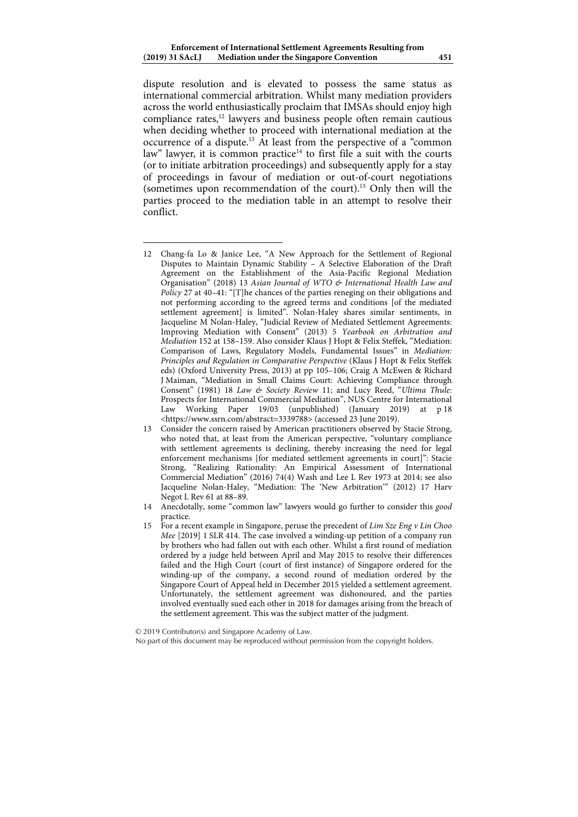dispute resolution and is elevated to possess the same status as international commercial arbitration. Whilst many mediation providers across the world enthusiastically proclaim that IMSAs should enjoy high compliance rates,<sup>12</sup> lawyers and business people often remain cautious when deciding whether to proceed with international mediation at the occurrence of a dispute.13 At least from the perspective of a "common law" lawyer, it is common practice<sup>14</sup> to first file a suit with the courts (or to initiate arbitration proceedings) and subsequently apply for a stay of proceedings in favour of mediation or out-of-court negotiations (sometimes upon recommendation of the court).15 Only then will the parties proceed to the mediation table in an attempt to resolve their conflict.

12 Chang-fa Lo & Janice Lee, "A New Approach for the Settlement of Regional Disputes to Maintain Dynamic Stability – A Selective Elaboration of the Draft Agreement on the Establishment of the Asia-Pacific Regional Mediation Organisation" (2018) 13 *Asian Journal of WTO & International Health Law and Policy* 27 at 40–41: "[T]he chances of the parties reneging on their obligations and not performing according to the agreed terms and conditions [of the mediated settlement agreement] is limited". Nolan-Haley shares similar sentiments, in Jacqueline M Nolan-Haley, "Judicial Review of Mediated Settlement Agreements: Improving Mediation with Consent" (2013) 5 *Yearbook on Arbitration and Mediation* 152 at 158–159. Also consider Klaus J Hopt & Felix Steffek, "Mediation: Comparison of Laws, Regulatory Models, Fundamental Issues" in *Mediation: Principles and Regulation in Comparative Perspective* (Klaus J Hopt & Felix Steffek eds) (Oxford University Press, 2013) at pp 105–106; Craig A McEwen & Richard J Maiman, "Mediation in Small Claims Court: Achieving Compliance through Consent" (1981) 18 *Law & Society Review* 11; and Lucy Reed, "*Ultima Thule*: Prospects for International Commercial Mediation", NUS Centre for International Law Working Paper 19/03 (unpublished) (January 2019) at p 18 <https://www.ssrn.com/abstract=3339788> (accessed 23 June 2019).

j

- 13 Consider the concern raised by American practitioners observed by Stacie Strong, who noted that, at least from the American perspective, "voluntary compliance with settlement agreements is declining, thereby increasing the need for legal enforcement mechanisms [for mediated settlement agreements in court]": Stacie Strong, "Realizing Rationality: An Empirical Assessment of International Commercial Mediation" (2016) 74(4) Wash and Lee L Rev 1973 at 2014; see also Jacqueline Nolan-Haley, "Mediation: The 'New Arbitration'" (2012) 17 Harv Negot L Rev 61 at 88–89.
- 14 Anecdotally, some "common law" lawyers would go further to consider this *good* practice.
- 15 For a recent example in Singapore, peruse the precedent of *Lim Sze Eng v Lin Choo Mee* [2019] 1 SLR 414. The case involved a winding-up petition of a company run by brothers who had fallen out with each other. Whilst a first round of mediation ordered by a judge held between April and May 2015 to resolve their differences failed and the High Court (court of first instance) of Singapore ordered for the winding-up of the company, a second round of mediation ordered by the Singapore Court of Appeal held in December 2015 yielded a settlement agreement. Unfortunately, the settlement agreement was dishonoured, and the parties involved eventually sued each other in 2018 for damages arising from the breach of the settlement agreement. This was the subject matter of the judgment.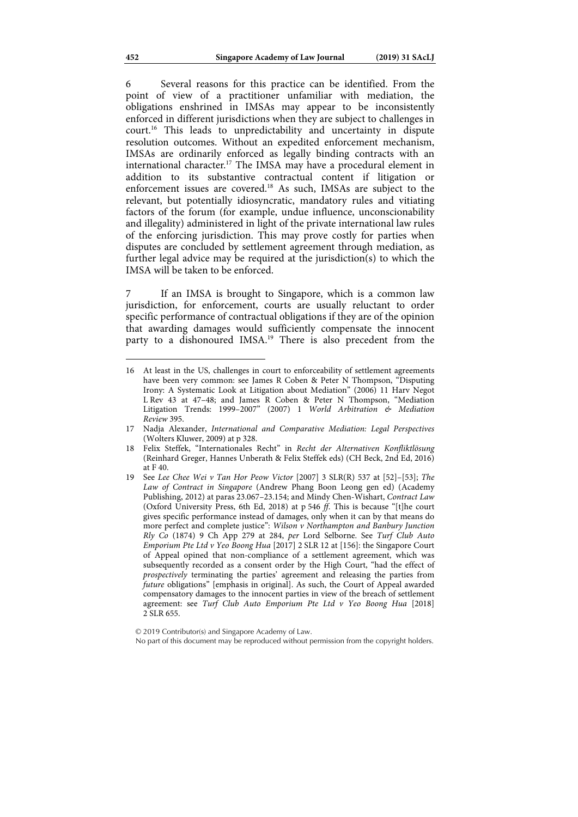6 Several reasons for this practice can be identified. From the point of view of a practitioner unfamiliar with mediation, the obligations enshrined in IMSAs may appear to be inconsistently enforced in different jurisdictions when they are subject to challenges in court.16 This leads to unpredictability and uncertainty in dispute resolution outcomes. Without an expedited enforcement mechanism, IMSAs are ordinarily enforced as legally binding contracts with an international character.17 The IMSA may have a procedural element in addition to its substantive contractual content if litigation or enforcement issues are covered.18 As such, IMSAs are subject to the relevant, but potentially idiosyncratic, mandatory rules and vitiating factors of the forum (for example, undue influence, unconscionability and illegality) administered in light of the private international law rules of the enforcing jurisdiction. This may prove costly for parties when disputes are concluded by settlement agreement through mediation, as further legal advice may be required at the jurisdiction(s) to which the IMSA will be taken to be enforced.

7 If an IMSA is brought to Singapore, which is a common law jurisdiction, for enforcement, courts are usually reluctant to order specific performance of contractual obligations if they are of the opinion that awarding damages would sufficiently compensate the innocent party to a dishonoured IMSA.<sup>19</sup> There is also precedent from the

<sup>16</sup> At least in the US, challenges in court to enforceability of settlement agreements have been very common: see James R Coben & Peter N Thompson, "Disputing Irony: A Systematic Look at Litigation about Mediation" (2006) 11 Harv Negot L Rev 43 at 47–48; and James R Coben & Peter N Thompson, "Mediation Litigation Trends: 1999–2007" (2007) 1 *World Arbitration & Mediation Review* 395.

<sup>17</sup> Nadja Alexander, *International and Comparative Mediation: Legal Perspectives* (Wolters Kluwer, 2009) at p 328.

<sup>18</sup> Felix Steffek, "Internationales Recht" in *Recht der Alternativen Konfliktlösung* (Reinhard Greger, Hannes Unberath & Felix Steffek eds) (CH Beck, 2nd Ed, 2016) at F 40.

<sup>19</sup> See *Lee Chee Wei v Tan Hor Peow Victor* [2007] 3 SLR(R) 537 at [52]–[53]; *The Law of Contract in Singapore* (Andrew Phang Boon Leong gen ed) (Academy Publishing, 2012) at paras 23.067–23.154; and Mindy Chen-Wishart, *Contract Law* (Oxford University Press, 6th Ed, 2018) at p 546 *ff*. This is because "[t]he court gives specific performance instead of damages, only when it can by that means do more perfect and complete justice": *Wilson v Northampton and Banbury Junction Rly Co* (1874) 9 Ch App 279 at 284, *per* Lord Selborne. See *Turf Club Auto Emporium Pte Ltd v Yeo Boong Hua* [2017] 2 SLR 12 at [156]: the Singapore Court of Appeal opined that non-compliance of a settlement agreement, which was subsequently recorded as a consent order by the High Court, "had the effect of *prospectively* terminating the parties' agreement and releasing the parties from *future* obligations" [emphasis in original]. As such, the Court of Appeal awarded compensatory damages to the innocent parties in view of the breach of settlement agreement: see *Turf Club Auto Emporium Pte Ltd v Yeo Boong Hua* [2018] 2 SLR 655.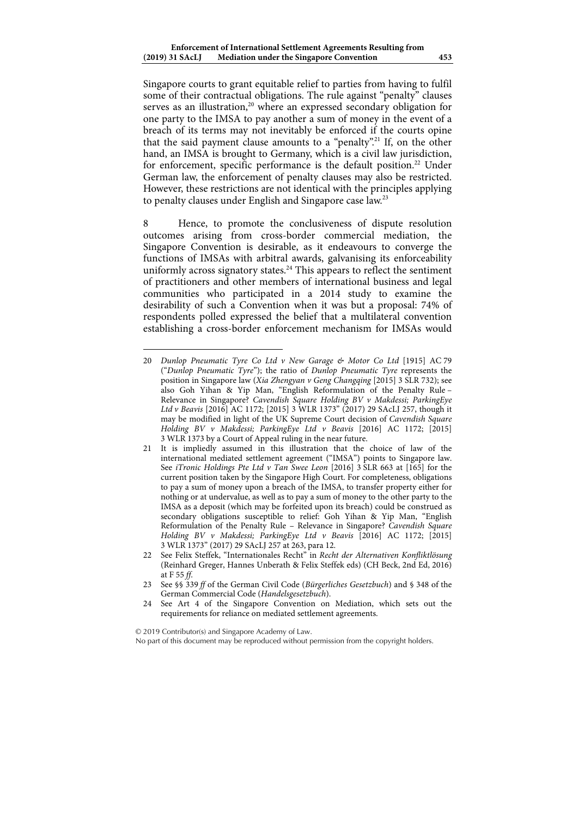Singapore courts to grant equitable relief to parties from having to fulfil some of their contractual obligations. The rule against "penalty" clauses serves as an illustration,<sup>20</sup> where an expressed secondary obligation for one party to the IMSA to pay another a sum of money in the event of a breach of its terms may not inevitably be enforced if the courts opine that the said payment clause amounts to a "penalty".21 If, on the other hand, an IMSA is brought to Germany, which is a civil law jurisdiction, for enforcement, specific performance is the default position.<sup>22</sup> Under German law, the enforcement of penalty clauses may also be restricted. However, these restrictions are not identical with the principles applying to penalty clauses under English and Singapore case law.<sup>23</sup>

8 Hence, to promote the conclusiveness of dispute resolution outcomes arising from cross-border commercial mediation, the Singapore Convention is desirable, as it endeavours to converge the functions of IMSAs with arbitral awards, galvanising its enforceability uniformly across signatory states.<sup>24</sup> This appears to reflect the sentiment of practitioners and other members of international business and legal communities who participated in a 2014 study to examine the desirability of such a Convention when it was but a proposal: 74% of respondents polled expressed the belief that a multilateral convention establishing a cross-border enforcement mechanism for IMSAs would

 $\overline{a}$ 20 *Dunlop Pneumatic Tyre Co Ltd v New Garage & Motor Co Ltd* [1915] AC 79 ("*Dunlop Pneumatic Tyre*"); the ratio of *Dunlop Pneumatic Tyre* represents the position in Singapore law (*Xia Zhengyan v Geng Changqing* [2015] 3 SLR 732); see also Goh Yihan & Yip Man, "English Reformulation of the Penalty Rule – Relevance in Singapore? *Cavendish Square Holding BV v Makdessi; ParkingEye Ltd v Beavis* [2016] AC 1172; [2015] 3 WLR 1373" (2017) 29 SAcLJ 257, though it may be modified in light of the UK Supreme Court decision of *Cavendish Square Holding BV v Makdessi; ParkingEye Ltd v Beavis* [2016] AC 1172; [2015] 3 WLR 1373 by a Court of Appeal ruling in the near future.

<sup>21</sup> It is impliedly assumed in this illustration that the choice of law of the international mediated settlement agreement ("IMSA") points to Singapore law. See *iTronic Holdings Pte Ltd v Tan Swee Leon* [2016] 3 SLR 663 at [165] for the current position taken by the Singapore High Court. For completeness, obligations to pay a sum of money upon a breach of the IMSA, to transfer property either for nothing or at undervalue, as well as to pay a sum of money to the other party to the IMSA as a deposit (which may be forfeited upon its breach) could be construed as secondary obligations susceptible to relief: Goh Yihan & Yip Man, "English Reformulation of the Penalty Rule – Relevance in Singapore? *Cavendish Square Holding BV v Makdessi; ParkingEye Ltd v Beavis* [2016] AC 1172; [2015] 3 WLR 1373" (2017) 29 SAcLJ 257 at 263, para 12.

<sup>22</sup> See Felix Steffek, "Internationales Recht" in *Recht der Alternativen Konfliktlösung* (Reinhard Greger, Hannes Unberath & Felix Steffek eds) (CH Beck, 2nd Ed, 2016) at F 55 *ff*.

<sup>23</sup> See §§ 339 *ff* of the German Civil Code (*Bürgerliches Gesetzbuch*) and § 348 of the German Commercial Code (*Handelsgesetzbuch*).

<sup>24</sup> See Art 4 of the Singapore Convention on Mediation, which sets out the requirements for reliance on mediated settlement agreements.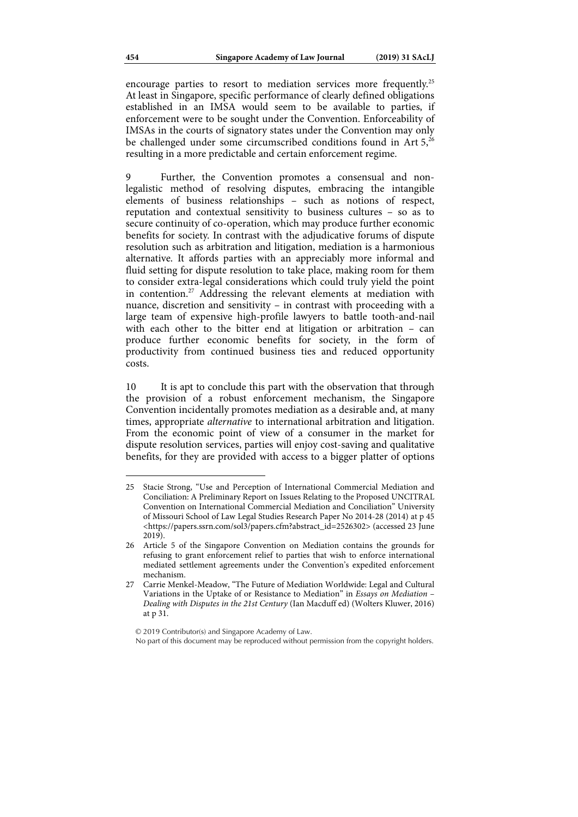encourage parties to resort to mediation services more frequently.25 At least in Singapore, specific performance of clearly defined obligations established in an IMSA would seem to be available to parties, if enforcement were to be sought under the Convention. Enforceability of IMSAs in the courts of signatory states under the Convention may only be challenged under some circumscribed conditions found in Art  $5^{26}$ resulting in a more predictable and certain enforcement regime.

9 Further, the Convention promotes a consensual and nonlegalistic method of resolving disputes, embracing the intangible elements of business relationships – such as notions of respect, reputation and contextual sensitivity to business cultures – so as to secure continuity of co-operation, which may produce further economic benefits for society. In contrast with the adjudicative forums of dispute resolution such as arbitration and litigation, mediation is a harmonious alternative. It affords parties with an appreciably more informal and fluid setting for dispute resolution to take place, making room for them to consider extra-legal considerations which could truly yield the point in contention.27 Addressing the relevant elements at mediation with nuance, discretion and sensitivity – in contrast with proceeding with a large team of expensive high-profile lawyers to battle tooth-and-nail with each other to the bitter end at litigation or arbitration – can produce further economic benefits for society, in the form of productivity from continued business ties and reduced opportunity costs.

10 It is apt to conclude this part with the observation that through the provision of a robust enforcement mechanism, the Singapore Convention incidentally promotes mediation as a desirable and, at many times, appropriate *alternative* to international arbitration and litigation. From the economic point of view of a consumer in the market for dispute resolution services, parties will enjoy cost-saving and qualitative benefits, for they are provided with access to a bigger platter of options

<sup>25</sup> Stacie Strong, "Use and Perception of International Commercial Mediation and Conciliation: A Preliminary Report on Issues Relating to the Proposed UNCITRAL Convention on International Commercial Mediation and Conciliation" University of Missouri School of Law Legal Studies Research Paper No 2014-28 (2014) at p 45 <https://papers.ssrn.com/sol3/papers.cfm?abstract\_id=2526302> (accessed 23 June 2019).

<sup>26</sup> Article 5 of the Singapore Convention on Mediation contains the grounds for refusing to grant enforcement relief to parties that wish to enforce international mediated settlement agreements under the Convention's expedited enforcement mechanism.

<sup>27</sup> Carrie Menkel-Meadow, "The Future of Mediation Worldwide: Legal and Cultural Variations in the Uptake of or Resistance to Mediation" in *Essays on Mediation – Dealing with Disputes in the 21st Century* (Ian Macduff ed) (Wolters Kluwer, 2016) at p 31.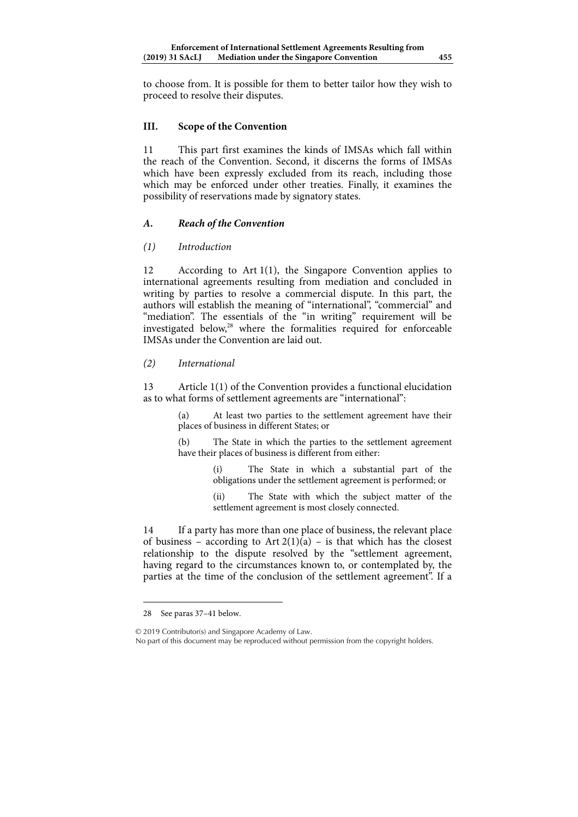to choose from. It is possible for them to better tailor how they wish to proceed to resolve their disputes.

## **III. Scope of the Convention**

11 This part first examines the kinds of IMSAs which fall within the reach of the Convention. Second, it discerns the forms of IMSAs which have been expressly excluded from its reach, including those which may be enforced under other treaties. Finally, it examines the possibility of reservations made by signatory states.

## *A. Reach of the Convention*

*(1) Introduction* 

12 According to Art 1(1), the Singapore Convention applies to international agreements resulting from mediation and concluded in writing by parties to resolve a commercial dispute. In this part, the authors will establish the meaning of "international", "commercial" and "mediation". The essentials of the "in writing" requirement will be investigated below,<sup>28</sup> where the formalities required for enforceable IMSAs under the Convention are laid out.

## *(2) International*

13 Article 1(1) of the Convention provides a functional elucidation as to what forms of settlement agreements are "international":

> (a) At least two parties to the settlement agreement have their places of business in different States; or

> (b) The State in which the parties to the settlement agreement have their places of business is different from either:

> > (i) The State in which a substantial part of the obligations under the settlement agreement is performed; or

> > (ii) The State with which the subject matter of the settlement agreement is most closely connected.

14 If a party has more than one place of business, the relevant place of business – according to Art  $2(1)(a)$  – is that which has the closest relationship to the dispute resolved by the "settlement agreement, having regard to the circumstances known to, or contemplated by, the parties at the time of the conclusion of the settlement agreement". If a

28 See paras 37–41 below.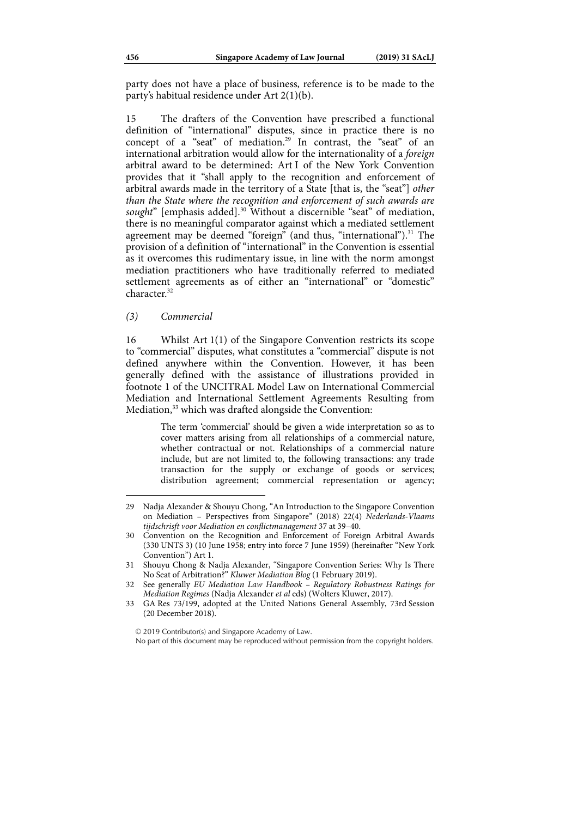party does not have a place of business, reference is to be made to the party's habitual residence under Art 2(1)(b).

15 The drafters of the Convention have prescribed a functional definition of "international" disputes, since in practice there is no concept of a "seat" of mediation.<sup>29</sup> In contrast, the "seat" of an international arbitration would allow for the internationality of a *foreign* arbitral award to be determined: Art I of the New York Convention provides that it "shall apply to the recognition and enforcement of arbitral awards made in the territory of a State [that is, the "seat"] *other than the State where the recognition and enforcement of such awards are*  sought" [emphasis added].<sup>30</sup> Without a discernible "seat" of mediation, there is no meaningful comparator against which a mediated settlement agreement may be deemed "foreign" (and thus, "international").<sup>31</sup> The provision of a definition of "international" in the Convention is essential as it overcomes this rudimentary issue, in line with the norm amongst mediation practitioners who have traditionally referred to mediated settlement agreements as of either an "international" or "domestic" character<sup>32</sup>

*(3) Commercial* 

1

16 Whilst Art 1(1) of the Singapore Convention restricts its scope to "commercial" disputes, what constitutes a "commercial" dispute is not defined anywhere within the Convention. However, it has been generally defined with the assistance of illustrations provided in footnote 1 of the UNCITRAL Model Law on International Commercial Mediation and International Settlement Agreements Resulting from Mediation,<sup>33</sup> which was drafted alongside the Convention:

> The term 'commercial' should be given a wide interpretation so as to cover matters arising from all relationships of a commercial nature, whether contractual or not. Relationships of a commercial nature include, but are not limited to, the following transactions: any trade transaction for the supply or exchange of goods or services; distribution agreement; commercial representation or agency;

<sup>29</sup> Nadja Alexander & Shouyu Chong, "An Introduction to the Singapore Convention on Mediation – Perspectives from Singapore" (2018) 22(4) *Nederlands-Vlaams tijdschrisft voor Mediation en conflictmanagement* 37 at 39–40.

<sup>30</sup> Convention on the Recognition and Enforcement of Foreign Arbitral Awards (330 UNTS 3) (10 June 1958; entry into force 7 June 1959) (hereinafter "New York Convention") Art 1.

<sup>31</sup> Shouyu Chong & Nadja Alexander, "Singapore Convention Series: Why Is There No Seat of Arbitration?" *Kluwer Mediation Blog* (1 February 2019).

<sup>32</sup> See generally *EU Mediation Law Handbook – Regulatory Robustness Ratings for Mediation Regimes* (Nadja Alexander *et al* eds) (Wolters Kluwer, 2017).

<sup>33</sup> GA Res 73/199, adopted at the United Nations General Assembly, 73rd Session (20 December 2018).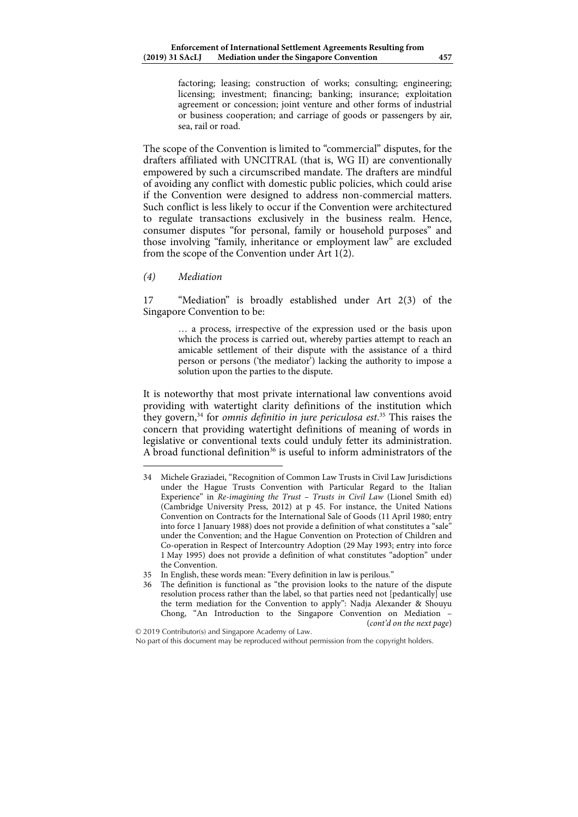factoring; leasing; construction of works; consulting; engineering; licensing; investment; financing; banking; insurance; exploitation agreement or concession; joint venture and other forms of industrial or business cooperation; and carriage of goods or passengers by air, sea, rail or road.

The scope of the Convention is limited to "commercial" disputes, for the drafters affiliated with UNCITRAL (that is, WG II) are conventionally empowered by such a circumscribed mandate. The drafters are mindful of avoiding any conflict with domestic public policies, which could arise if the Convention were designed to address non-commercial matters. Such conflict is less likely to occur if the Convention were architectured to regulate transactions exclusively in the business realm. Hence, consumer disputes "for personal, family or household purposes" and those involving "family, inheritance or employment law" are excluded from the scope of the Convention under Art 1(2).

*(4) Mediation* 

1

17 "Mediation" is broadly established under Art 2(3) of the Singapore Convention to be:

> … a process, irrespective of the expression used or the basis upon which the process is carried out, whereby parties attempt to reach an amicable settlement of their dispute with the assistance of a third person or persons ('the mediator') lacking the authority to impose a solution upon the parties to the dispute.

It is noteworthy that most private international law conventions avoid providing with watertight clarity definitions of the institution which they govern,<sup>34</sup> for *omnis definitio in jure periculosa est*.<sup>35</sup> This raises the concern that providing watertight definitions of meaning of words in legislative or conventional texts could unduly fetter its administration. A broad functional definition<sup>36</sup> is useful to inform administrators of the

<sup>34</sup> Michele Graziadei, "Recognition of Common Law Trusts in Civil Law Jurisdictions under the Hague Trusts Convention with Particular Regard to the Italian Experience" in *Re-imagining the Trust – Trusts in Civil Law* (Lionel Smith ed) (Cambridge University Press, 2012) at p 45. For instance, the United Nations Convention on Contracts for the International Sale of Goods (11 April 1980; entry into force 1 January 1988) does not provide a definition of what constitutes a "sale" under the Convention; and the Hague Convention on Protection of Children and Co-operation in Respect of Intercountry Adoption (29 May 1993; entry into force 1 May 1995) does not provide a definition of what constitutes "adoption" under the Convention.

<sup>35</sup> In English, these words mean: "Every definition in law is perilous."

<sup>36</sup> The definition is functional as "the provision looks to the nature of the dispute resolution process rather than the label, so that parties need not [pedantically] use the term mediation for the Convention to apply": Nadja Alexander & Shouyu Chong, "An Introduction to the Singapore Convention on Mediation – (*cont'd on the next page*)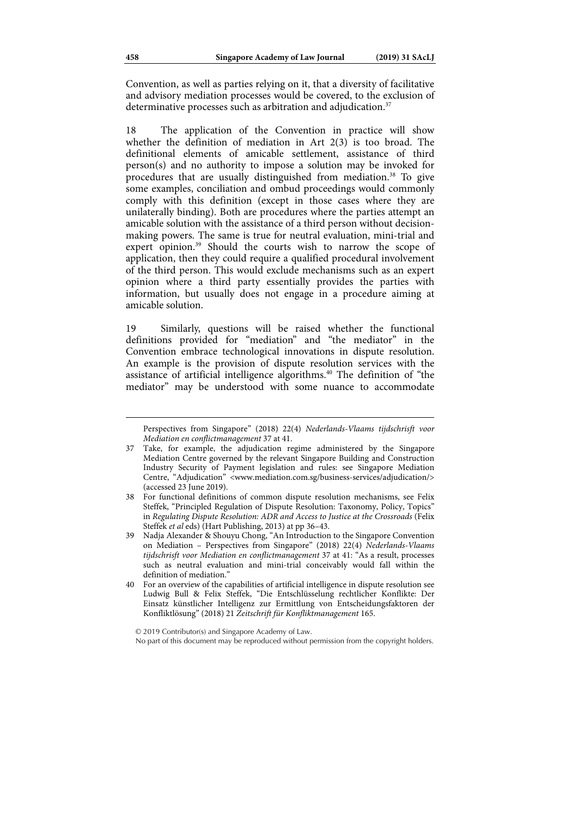Convention, as well as parties relying on it, that a diversity of facilitative and advisory mediation processes would be covered, to the exclusion of determinative processes such as arbitration and adjudication.<sup>37</sup>

18 The application of the Convention in practice will show whether the definition of mediation in Art 2(3) is too broad. The definitional elements of amicable settlement, assistance of third person(s) and no authority to impose a solution may be invoked for procedures that are usually distinguished from mediation.38 To give some examples, conciliation and ombud proceedings would commonly comply with this definition (except in those cases where they are unilaterally binding). Both are procedures where the parties attempt an amicable solution with the assistance of a third person without decisionmaking powers. The same is true for neutral evaluation, mini-trial and expert opinion.<sup>39</sup> Should the courts wish to narrow the scope of application, then they could require a qualified procedural involvement of the third person. This would exclude mechanisms such as an expert opinion where a third party essentially provides the parties with information, but usually does not engage in a procedure aiming at amicable solution.

19 Similarly, questions will be raised whether the functional definitions provided for "mediation" and "the mediator" in the Convention embrace technological innovations in dispute resolution. An example is the provision of dispute resolution services with the assistance of artificial intelligence algorithms.<sup>40</sup> The definition of "the mediator" may be understood with some nuance to accommodate

Perspectives from Singapore" (2018) 22(4) *Nederlands-Vlaams tijdschrisft voor Mediation en conflictmanagement* 37 at 41.

<sup>37</sup> Take, for example, the adjudication regime administered by the Singapore Mediation Centre governed by the relevant Singapore Building and Construction Industry Security of Payment legislation and rules: see Singapore Mediation Centre, "Adjudication" <www.mediation.com.sg/business-services/adjudication/> (accessed 23 June 2019).

<sup>38</sup> For functional definitions of common dispute resolution mechanisms, see Felix Steffek, "Principled Regulation of Dispute Resolution: Taxonomy, Policy, Topics" in *Regulating Dispute Resolution: ADR and Access to Justice at the Crossroads* (Felix Steffek *et al* eds) (Hart Publishing, 2013) at pp 36–43.

<sup>39</sup> Nadja Alexander & Shouyu Chong, "An Introduction to the Singapore Convention on Mediation – Perspectives from Singapore" (2018) 22(4) *Nederlands-Vlaams tijdschrisft voor Mediation en conflictmanagement* 37 at 41: "As a result, processes such as neutral evaluation and mini-trial conceivably would fall within the definition of mediation."

<sup>40</sup> For an overview of the capabilities of artificial intelligence in dispute resolution see Ludwig Bull & Felix Steffek, "Die Entschlüsselung rechtlicher Konflikte: Der Einsatz künstlicher Intelligenz zur Ermittlung von Entscheidungsfaktoren der Konfliktlösung" (2018) 21 *Zeitschrift für Konfliktmanagement* 165.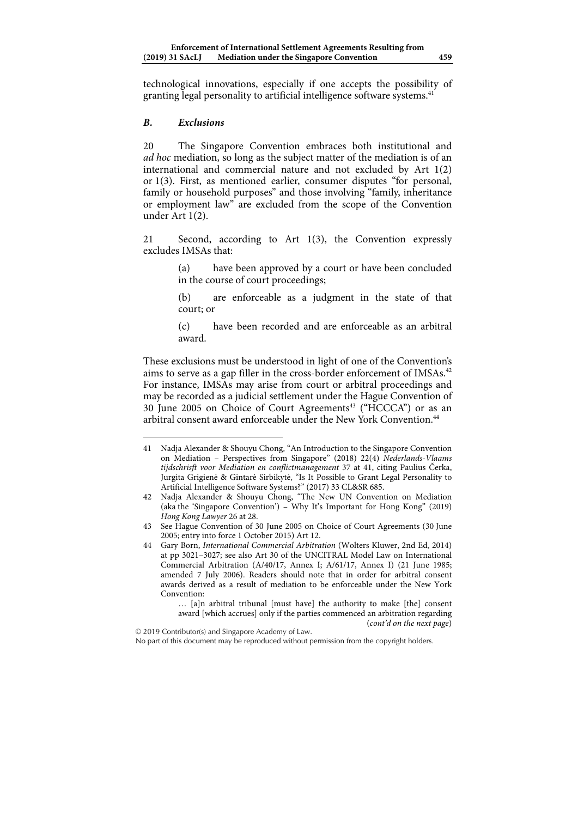technological innovations, especially if one accepts the possibility of granting legal personality to artificial intelligence software systems.<sup>41</sup>

## *B. Exclusions*

20 The Singapore Convention embraces both institutional and *ad hoc* mediation, so long as the subject matter of the mediation is of an international and commercial nature and not excluded by Art 1(2) or 1(3). First, as mentioned earlier, consumer disputes "for personal, family or household purposes" and those involving "family, inheritance or employment law" are excluded from the scope of the Convention under Art 1(2).

21 Second, according to Art 1(3), the Convention expressly excludes IMSAs that:

> (a) have been approved by a court or have been concluded in the course of court proceedings;

> (b) are enforceable as a judgment in the state of that court; or

> (c) have been recorded and are enforceable as an arbitral award.

These exclusions must be understood in light of one of the Convention's aims to serve as a gap filler in the cross-border enforcement of IMSAs.<sup>42</sup> For instance, IMSAs may arise from court or arbitral proceedings and may be recorded as a judicial settlement under the Hague Convention of 30 June 2005 on Choice of Court Agreements<sup>43</sup> ("HCCCA") or as an arbitral consent award enforceable under the New York Convention. $44$ 

… [a]n arbitral tribunal [must have] the authority to make [the] consent award [which accrues] only if the parties commenced an arbitration regarding (*cont'd on the next page*)

<sup>1</sup> 41 Nadja Alexander & Shouyu Chong, "An Introduction to the Singapore Convention on Mediation – Perspectives from Singapore" (2018) 22(4) *Nederlands-Vlaams tijdschrisft voor Mediation en conflictmanagement* 37 at 41, citing Paulius Čerka, Jurgita Grigienė & Gintarė Sirbikytė, "Is It Possible to Grant Legal Personality to Artificial Intelligence Software Systems?" (2017) 33 CL&SR 685.

<sup>42</sup> Nadja Alexander & Shouyu Chong, "The New UN Convention on Mediation (aka the 'Singapore Convention') – Why It's Important for Hong Kong" (2019) *Hong Kong Lawyer* 26 at 28.

<sup>43</sup> See Hague Convention of 30 June 2005 on Choice of Court Agreements (30 June 2005; entry into force 1 October 2015) Art 12.

<sup>44</sup> Gary Born, *International Commercial Arbitration* (Wolters Kluwer, 2nd Ed, 2014) at pp 3021–3027; see also Art 30 of the UNCITRAL Model Law on International Commercial Arbitration (A/40/17, Annex I; A/61/17, Annex I) (21 June 1985; amended 7 July 2006). Readers should note that in order for arbitral consent awards derived as a result of mediation to be enforceable under the New York Convention: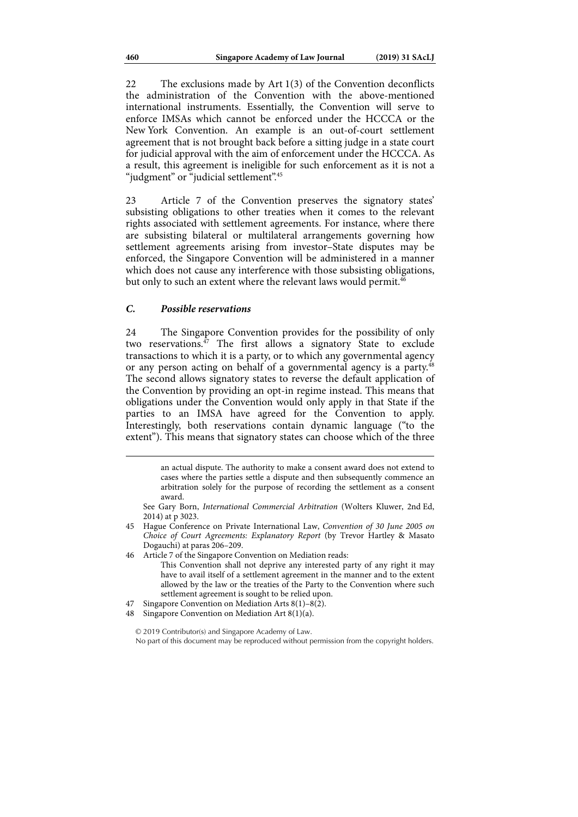22 The exclusions made by Art 1(3) of the Convention deconflicts the administration of the Convention with the above-mentioned international instruments. Essentially, the Convention will serve to enforce IMSAs which cannot be enforced under the HCCCA or the New York Convention. An example is an out-of-court settlement agreement that is not brought back before a sitting judge in a state court for judicial approval with the aim of enforcement under the HCCCA. As a result, this agreement is ineligible for such enforcement as it is not a "judgment" or "judicial settlement".<sup>45</sup>

23 Article 7 of the Convention preserves the signatory states' subsisting obligations to other treaties when it comes to the relevant rights associated with settlement agreements. For instance, where there are subsisting bilateral or multilateral arrangements governing how settlement agreements arising from investor–State disputes may be enforced, the Singapore Convention will be administered in a manner which does not cause any interference with those subsisting obligations, but only to such an extent where the relevant laws would permit.<sup>46</sup>

#### *C. Possible reservations*

24 The Singapore Convention provides for the possibility of only two reservations.<sup>47</sup> The first allows a signatory State to exclude transactions to which it is a party, or to which any governmental agency or any person acting on behalf of a governmental agency is a party.<sup>48</sup> The second allows signatory states to reverse the default application of the Convention by providing an opt-in regime instead. This means that obligations under the Convention would only apply in that State if the parties to an IMSA have agreed for the Convention to apply. Interestingly, both reservations contain dynamic language ("to the extent"). This means that signatory states can choose which of the three

- See Gary Born, *International Commercial Arbitration* (Wolters Kluwer, 2nd Ed, 2014) at p 3023.
- 45 Hague Conference on Private International Law, *Convention of 30 June 2005 on Choice of Court Agreements: Explanatory Report* (by Trevor Hartley & Masato Dogauchi) at paras 206–209.
- 46 Article 7 of the Singapore Convention on Mediation reads:
	- This Convention shall not deprive any interested party of any right it may have to avail itself of a settlement agreement in the manner and to the extent allowed by the law or the treaties of the Party to the Convention where such settlement agreement is sought to be relied upon.
- 47 Singapore Convention on Mediation Arts 8(1)–8(2).
- 48 Singapore Convention on Mediation Art 8(1)(a).

an actual dispute. The authority to make a consent award does not extend to cases where the parties settle a dispute and then subsequently commence an arbitration solely for the purpose of recording the settlement as a consent award.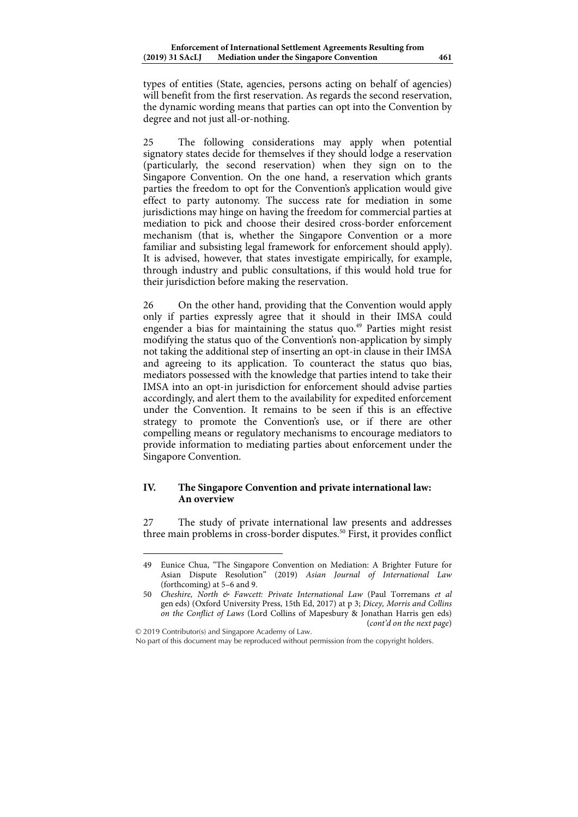types of entities (State, agencies, persons acting on behalf of agencies) will benefit from the first reservation. As regards the second reservation, the dynamic wording means that parties can opt into the Convention by degree and not just all-or-nothing.

25 The following considerations may apply when potential signatory states decide for themselves if they should lodge a reservation (particularly, the second reservation) when they sign on to the Singapore Convention. On the one hand, a reservation which grants parties the freedom to opt for the Convention's application would give effect to party autonomy. The success rate for mediation in some jurisdictions may hinge on having the freedom for commercial parties at mediation to pick and choose their desired cross-border enforcement mechanism (that is, whether the Singapore Convention or a more familiar and subsisting legal framework for enforcement should apply). It is advised, however, that states investigate empirically, for example, through industry and public consultations, if this would hold true for their jurisdiction before making the reservation.

26 On the other hand, providing that the Convention would apply only if parties expressly agree that it should in their IMSA could engender a bias for maintaining the status quo.<sup>49</sup> Parties might resist modifying the status quo of the Convention's non-application by simply not taking the additional step of inserting an opt-in clause in their IMSA and agreeing to its application. To counteract the status quo bias, mediators possessed with the knowledge that parties intend to take their IMSA into an opt-in jurisdiction for enforcement should advise parties accordingly, and alert them to the availability for expedited enforcement under the Convention. It remains to be seen if this is an effective strategy to promote the Convention's use, or if there are other compelling means or regulatory mechanisms to encourage mediators to provide information to mediating parties about enforcement under the Singapore Convention.

## **IV. The Singapore Convention and private international law: An overview**

27 The study of private international law presents and addresses three main problems in cross-border disputes.<sup>50</sup> First, it provides conflict

© 2019 Contributor(s) and Singapore Academy of Law.

1

No part of this document may be reproduced without permission from the copyright holders.

<sup>49</sup> Eunice Chua, "The Singapore Convention on Mediation: A Brighter Future for Asian Dispute Resolution" (2019) *Asian Journal of International Law* (forthcoming) at 5–6 and 9.

<sup>50</sup> *Cheshire, North & Fawcett: Private International Law* (Paul Torremans *et al* gen eds) (Oxford University Press, 15th Ed, 2017) at p 3; *Dicey, Morris and Collins on the Conflict of Laws* (Lord Collins of Mapesbury & Jonathan Harris gen eds) (*cont'd on the next page*)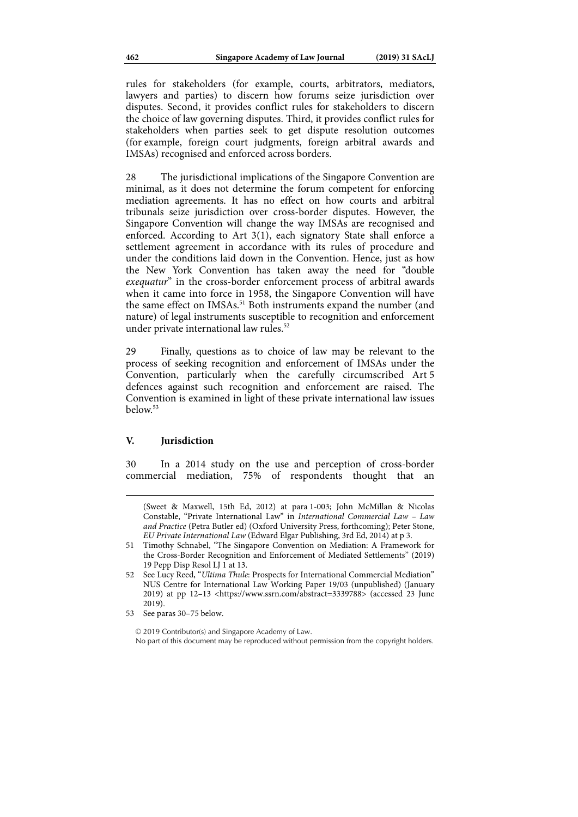rules for stakeholders (for example, courts, arbitrators, mediators, lawyers and parties) to discern how forums seize jurisdiction over disputes. Second, it provides conflict rules for stakeholders to discern the choice of law governing disputes. Third, it provides conflict rules for stakeholders when parties seek to get dispute resolution outcomes (for example, foreign court judgments, foreign arbitral awards and IMSAs) recognised and enforced across borders.

28 The jurisdictional implications of the Singapore Convention are minimal, as it does not determine the forum competent for enforcing mediation agreements. It has no effect on how courts and arbitral tribunals seize jurisdiction over cross-border disputes. However, the Singapore Convention will change the way IMSAs are recognised and enforced. According to Art 3(1), each signatory State shall enforce a settlement agreement in accordance with its rules of procedure and under the conditions laid down in the Convention. Hence, just as how the New York Convention has taken away the need for "double *exequatur*" in the cross-border enforcement process of arbitral awards when it came into force in 1958, the Singapore Convention will have the same effect on IMSAs.<sup>51</sup> Both instruments expand the number (and nature) of legal instruments susceptible to recognition and enforcement under private international law rules.<sup>52</sup>

29 Finally, questions as to choice of law may be relevant to the process of seeking recognition and enforcement of IMSAs under the Convention, particularly when the carefully circumscribed Art 5 defences against such recognition and enforcement are raised. The Convention is examined in light of these private international law issues  $below<sup>53</sup>$ 

## **V. Jurisdiction**

1

30 In a 2014 study on the use and perception of cross-border commercial mediation, 75% of respondents thought that an

<sup>(</sup>Sweet & Maxwell, 15th Ed, 2012) at para 1-003; John McMillan & Nicolas Constable, "Private International Law" in *International Commercial Law – Law and Practice* (Petra Butler ed) (Oxford University Press, forthcoming); Peter Stone, *EU Private International Law* (Edward Elgar Publishing, 3rd Ed, 2014) at p 3.

<sup>51</sup> Timothy Schnabel, "The Singapore Convention on Mediation: A Framework for the Cross-Border Recognition and Enforcement of Mediated Settlements" (2019) 19 Pepp Disp Resol LJ 1 at 13.

<sup>52</sup> See Lucy Reed, "*Ultima Thule*: Prospects for International Commercial Mediation" NUS Centre for International Law Working Paper 19/03 (unpublished) (January 2019) at pp 12–13 <https://www.ssrn.com/abstract=3339788> (accessed 23 June 2019).

<sup>53</sup> See paras 30–75 below.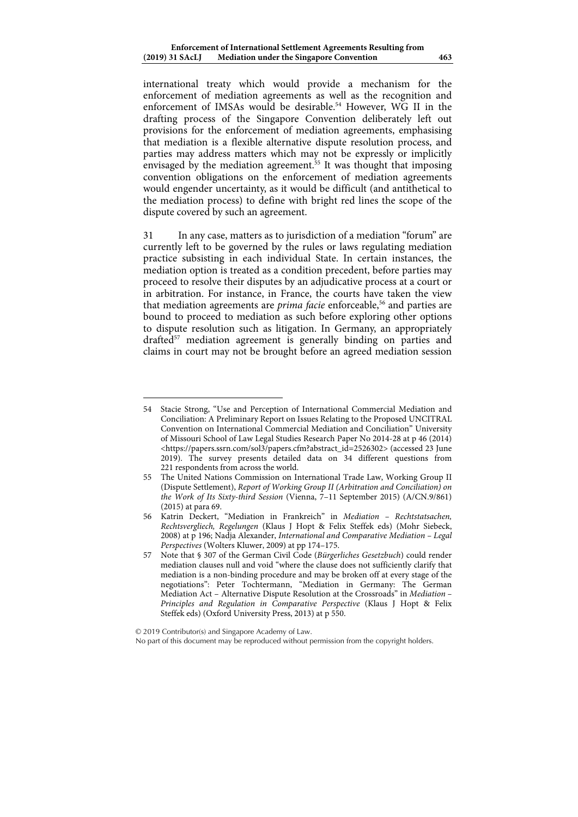international treaty which would provide a mechanism for the enforcement of mediation agreements as well as the recognition and enforcement of IMSAs would be desirable.<sup>54</sup> However, WG II in the drafting process of the Singapore Convention deliberately left out provisions for the enforcement of mediation agreements, emphasising that mediation is a flexible alternative dispute resolution process, and parties may address matters which may not be expressly or implicitly envisaged by the mediation agreement.<sup>55</sup> It was thought that imposing convention obligations on the enforcement of mediation agreements would engender uncertainty, as it would be difficult (and antithetical to the mediation process) to define with bright red lines the scope of the dispute covered by such an agreement.

31 In any case, matters as to jurisdiction of a mediation "forum" are currently left to be governed by the rules or laws regulating mediation practice subsisting in each individual State. In certain instances, the mediation option is treated as a condition precedent, before parties may proceed to resolve their disputes by an adjudicative process at a court or in arbitration. For instance, in France, the courts have taken the view that mediation agreements are *prima facie* enforceable,<sup>56</sup> and parties are bound to proceed to mediation as such before exploring other options to dispute resolution such as litigation. In Germany, an appropriately drafted<sup>57</sup> mediation agreement is generally binding on parties and claims in court may not be brought before an agreed mediation session

<sup>54</sup> Stacie Strong, "Use and Perception of International Commercial Mediation and Conciliation: A Preliminary Report on Issues Relating to the Proposed UNCITRAL Convention on International Commercial Mediation and Conciliation" University of Missouri School of Law Legal Studies Research Paper No 2014-28 at p 46 (2014) <https://papers.ssrn.com/sol3/papers.cfm?abstract\_id=2526302> (accessed 23 June 2019). The survey presents detailed data on 34 different questions from 221 respondents from across the world.

<sup>55</sup> The United Nations Commission on International Trade Law, Working Group II (Dispute Settlement), *Report of Working Group II (Arbitration and Conciliation) on the Work of Its Sixty-third Session* (Vienna, 7–11 September 2015) (A/CN.9/861) (2015) at para 69.

<sup>56</sup> Katrin Deckert, "Mediation in Frankreich" in *Mediation – Rechtstatsachen, Rechtsvergliech, Regelungen* (Klaus J Hopt & Felix Steffek eds) (Mohr Siebeck, 2008) at p 196; Nadja Alexander, *International and Comparative Mediation – Legal Perspectives* (Wolters Kluwer, 2009) at pp 174–175.

<sup>57</sup> Note that § 307 of the German Civil Code (*Bürgerliches Gesetzbuch*) could render mediation clauses null and void "where the clause does not sufficiently clarify that mediation is a non-binding procedure and may be broken off at every stage of the negotiations": Peter Tochtermann, "Mediation in Germany: The German Mediation Act – Alternative Dispute Resolution at the Crossroads" in *Mediation – Principles and Regulation in Comparative Perspective* (Klaus J Hopt & Felix Steffek eds) (Oxford University Press, 2013) at p 550.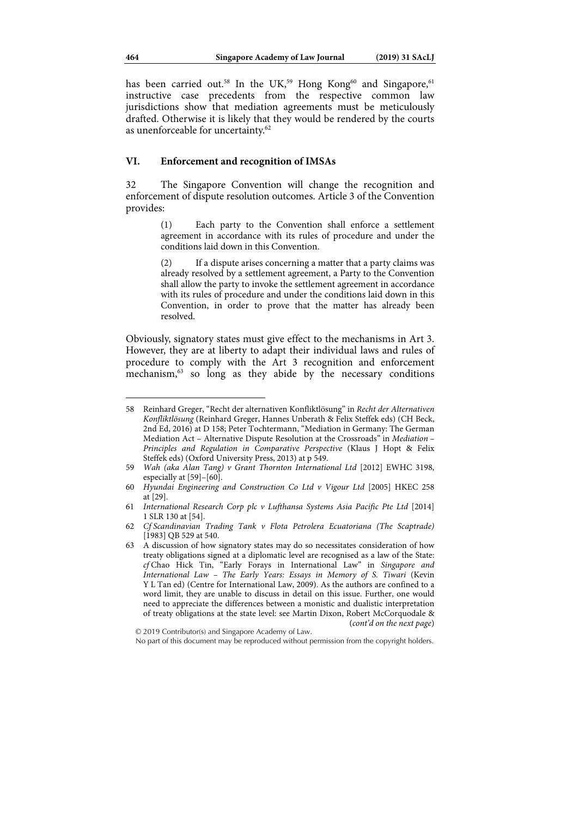has been carried out.<sup>58</sup> In the UK,<sup>59</sup> Hong Kong<sup>60</sup> and Singapore,<sup>61</sup> instructive case precedents from the respective common law jurisdictions show that mediation agreements must be meticulously drafted. Otherwise it is likely that they would be rendered by the courts as unenforceable for uncertainty.<sup>62</sup>

## **VI. Enforcement and recognition of IMSAs**

32 The Singapore Convention will change the recognition and enforcement of dispute resolution outcomes. Article 3 of the Convention provides:

> (1) Each party to the Convention shall enforce a settlement agreement in accordance with its rules of procedure and under the conditions laid down in this Convention.

> (2) If a dispute arises concerning a matter that a party claims was already resolved by a settlement agreement, a Party to the Convention shall allow the party to invoke the settlement agreement in accordance with its rules of procedure and under the conditions laid down in this Convention, in order to prove that the matter has already been resolved.

Obviously, signatory states must give effect to the mechanisms in Art 3. However, they are at liberty to adapt their individual laws and rules of procedure to comply with the Art 3 recognition and enforcement mechanism,<sup>63</sup> so long as they abide by the necessary conditions

<sup>58</sup> Reinhard Greger, "Recht der alternativen Konfliktlösung" in *Recht der Alternativen Konfliktlösung* (Reinhard Greger, Hannes Unberath & Felix Steffek eds) (CH Beck, 2nd Ed, 2016) at D 158; Peter Tochtermann, "Mediation in Germany: The German Mediation Act – Alternative Dispute Resolution at the Crossroads" in *Mediation – Principles and Regulation in Comparative Perspective* (Klaus J Hopt & Felix Steffek eds) (Oxford University Press, 2013) at p 549.

<sup>59</sup> *Wah (aka Alan Tang) v Grant Thornton International Ltd* [2012] EWHC 3198, especially at [59]–[60].

<sup>60</sup> *Hyundai Engineering and Construction Co Ltd v Vigour Ltd* [2005] HKEC 258 at [29].

<sup>61</sup> *International Research Corp plc v Lufthansa Systems Asia Pacific Pte Ltd* [2014] 1 SLR 130 at [54].

<sup>62</sup> *Cf Scandinavian Trading Tank v Flota Petrolera Ecuatoriana (The Scaptrade)* [1983] QB 529 at 540.

<sup>63</sup> A discussion of how signatory states may do so necessitates consideration of how treaty obligations signed at a diplomatic level are recognised as a law of the State: *cf* Chao Hick Tin, "Early Forays in International Law" in *Singapore and International Law – The Early Years: Essays in Memory of S. Tiwari* (Kevin Y L Tan ed) (Centre for International Law, 2009). As the authors are confined to a word limit, they are unable to discuss in detail on this issue. Further, one would need to appreciate the differences between a monistic and dualistic interpretation of treaty obligations at the state level: see Martin Dixon, Robert McCorquodale & (*cont'd on the next page*)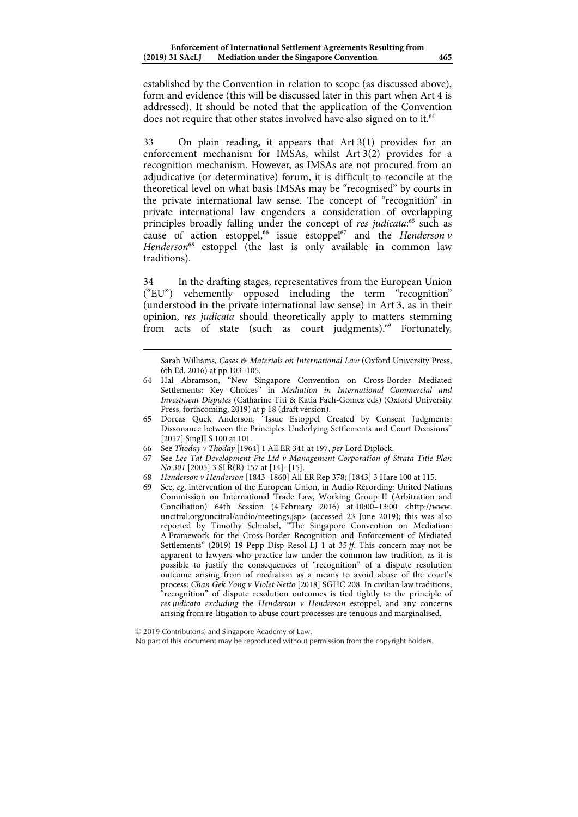established by the Convention in relation to scope (as discussed above), form and evidence (this will be discussed later in this part when Art 4 is addressed). It should be noted that the application of the Convention does not require that other states involved have also signed on to it.<sup>64</sup>

33 On plain reading, it appears that Art 3(1) provides for an enforcement mechanism for IMSAs, whilst Art 3(2) provides for a recognition mechanism. However, as IMSAs are not procured from an adjudicative (or determinative) forum, it is difficult to reconcile at the theoretical level on what basis IMSAs may be "recognised" by courts in the private international law sense. The concept of "recognition" in private international law engenders a consideration of overlapping principles broadly falling under the concept of *res judicata*: 65 such as cause of action estoppel,<sup>66</sup> issue estoppel<sup>67</sup> and the *Henderson v* Henderson<sup>68</sup> estoppel (the last is only available in common law traditions).

34 In the drafting stages, representatives from the European Union ("EU") vehemently opposed including the term "recognition" (understood in the private international law sense) in Art 3, as in their opinion, *res judicata* should theoretically apply to matters stemming from acts of state (such as court judgments).<sup>69</sup> Fortunately,

Sarah Williams, *Cases & Materials on International Law* (Oxford University Press, 6th Ed, 2016) at pp 103–105.

<sup>64</sup> Hal Abramson, "New Singapore Convention on Cross-Border Mediated Settlements: Key Choices" in *Mediation in International Commercial and Investment Disputes* (Catharine Titi & Katia Fach-Gomez eds) (Oxford University Press, forthcoming, 2019) at p 18 (draft version).

<sup>65</sup> Dorcas Quek Anderson, "Issue Estoppel Created by Consent Judgments: Dissonance between the Principles Underlying Settlements and Court Decisions" [2017] SingJLS 100 at 101.

<sup>66</sup> See *Thoday v Thoday* [1964] 1 All ER 341 at 197, *per* Lord Diplock.

<sup>67</sup> See *Lee Tat Development Pte Ltd v Management Corporation of Strata Title Plan No 301* [2005] 3 SLR(R) 157 at [14]–[15].

<sup>68</sup> *Henderson v Henderson* [1843–1860] All ER Rep 378; [1843] 3 Hare 100 at 115.

<sup>69</sup> See, *eg*, intervention of the European Union, in Audio Recording: United Nations Commission on International Trade Law, Working Group II (Arbitration and Conciliation) 64th Session (4 February 2016) at 10:00–13:00 <http://www. uncitral.org/uncitral/audio/meetings.jsp> (accessed 23 June 2019); this was also reported by Timothy Schnabel, "The Singapore Convention on Mediation: A Framework for the Cross-Border Recognition and Enforcement of Mediated Settlements" (2019) 19 Pepp Disp Resol LJ 1 at 35 *ff*. This concern may not be apparent to lawyers who practice law under the common law tradition, as it is possible to justify the consequences of "recognition" of a dispute resolution outcome arising from of mediation as a means to avoid abuse of the court's process: *Chan Gek Yong v Violet Netto* [2018] SGHC 208. In civilian law traditions, "recognition" of dispute resolution outcomes is tied tightly to the principle of *res judicata excluding* the *Henderson v Henderson* estoppel, and any concerns arising from re-litigation to abuse court processes are tenuous and marginalised.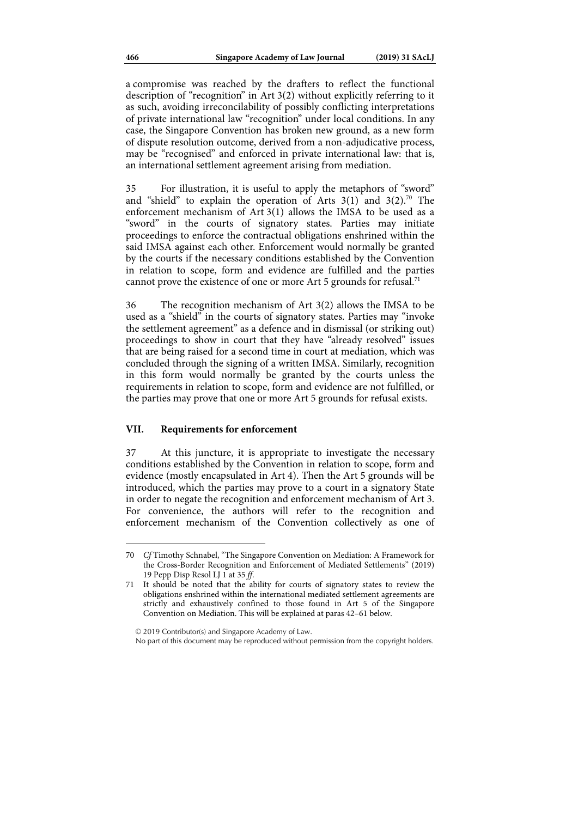a compromise was reached by the drafters to reflect the functional description of "recognition" in Art 3(2) without explicitly referring to it as such, avoiding irreconcilability of possibly conflicting interpretations of private international law "recognition" under local conditions. In any case, the Singapore Convention has broken new ground, as a new form of dispute resolution outcome, derived from a non-adjudicative process, may be "recognised" and enforced in private international law: that is, an international settlement agreement arising from mediation.

35 For illustration, it is useful to apply the metaphors of "sword" and "shield" to explain the operation of Arts  $3(1)$  and  $3(2)$ .<sup>70</sup> The enforcement mechanism of Art 3(1) allows the IMSA to be used as a "sword" in the courts of signatory states. Parties may initiate proceedings to enforce the contractual obligations enshrined within the said IMSA against each other. Enforcement would normally be granted by the courts if the necessary conditions established by the Convention in relation to scope, form and evidence are fulfilled and the parties cannot prove the existence of one or more Art 5 grounds for refusal.<sup>71</sup>

36 The recognition mechanism of Art 3(2) allows the IMSA to be used as a "shield" in the courts of signatory states. Parties may "invoke the settlement agreement" as a defence and in dismissal (or striking out) proceedings to show in court that they have "already resolved" issues that are being raised for a second time in court at mediation, which was concluded through the signing of a written IMSA. Similarly, recognition in this form would normally be granted by the courts unless the requirements in relation to scope, form and evidence are not fulfilled, or the parties may prove that one or more Art 5 grounds for refusal exists.

#### **VII. Requirements for enforcement**

37 At this juncture, it is appropriate to investigate the necessary conditions established by the Convention in relation to scope, form and evidence (mostly encapsulated in Art 4). Then the Art 5 grounds will be introduced, which the parties may prove to a court in a signatory State in order to negate the recognition and enforcement mechanism of Art 3. For convenience, the authors will refer to the recognition and enforcement mechanism of the Convention collectively as one of

<sup>70</sup> *Cf* Timothy Schnabel, "The Singapore Convention on Mediation: A Framework for the Cross-Border Recognition and Enforcement of Mediated Settlements" (2019) 19 Pepp Disp Resol LJ 1 at 35 *ff*.

<sup>71</sup> It should be noted that the ability for courts of signatory states to review the obligations enshrined within the international mediated settlement agreements are strictly and exhaustively confined to those found in Art 5 of the Singapore Convention on Mediation. This will be explained at paras 42–61 below.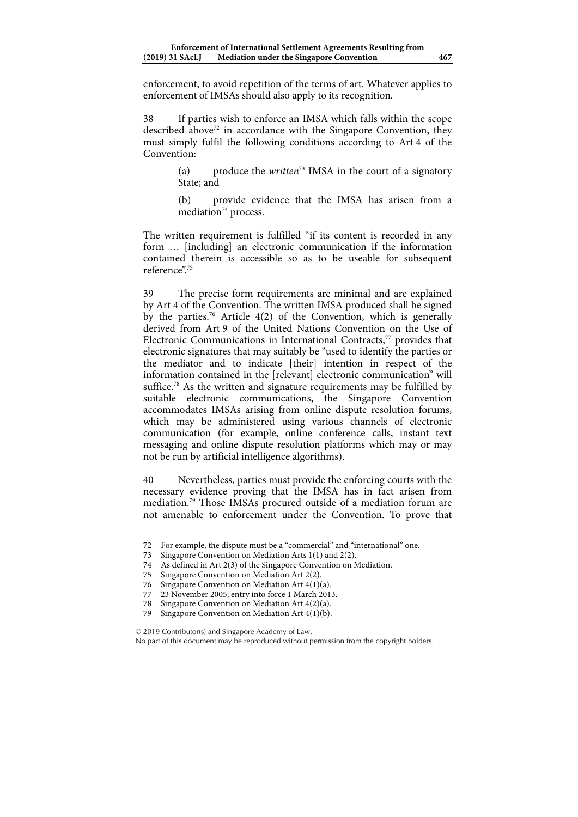enforcement, to avoid repetition of the terms of art. Whatever applies to enforcement of IMSAs should also apply to its recognition.

38 If parties wish to enforce an IMSA which falls within the scope described above<sup> $72$ </sup> in accordance with the Singapore Convention, they must simply fulfil the following conditions according to Art 4 of the Convention:

> (a) produce the *written*73 IMSA in the court of a signatory State; and

> (b) provide evidence that the IMSA has arisen from a mediation<sup>74</sup> process.

The written requirement is fulfilled "if its content is recorded in any form … [including] an electronic communication if the information contained therein is accessible so as to be useable for subsequent reference"<sup>75</sup>

39 The precise form requirements are minimal and are explained by Art 4 of the Convention. The written IMSA produced shall be signed by the parties.<sup>76</sup> Article 4(2) of the Convention, which is generally derived from Art 9 of the United Nations Convention on the Use of Electronic Communications in International Contracts,<sup>77</sup> provides that electronic signatures that may suitably be "used to identify the parties or the mediator and to indicate [their] intention in respect of the information contained in the [relevant] electronic communication" will suffice.<sup>78</sup> As the written and signature requirements may be fulfilled by suitable electronic communications, the Singapore Convention accommodates IMSAs arising from online dispute resolution forums, which may be administered using various channels of electronic communication (for example, online conference calls, instant text messaging and online dispute resolution platforms which may or may not be run by artificial intelligence algorithms).

40 Nevertheless, parties must provide the enforcing courts with the necessary evidence proving that the IMSA has in fact arisen from mediation.79 Those IMSAs procured outside of a mediation forum are not amenable to enforcement under the Convention. To prove that

1

© 2019 Contributor(s) and Singapore Academy of Law.

<sup>72</sup> For example, the dispute must be a "commercial" and "international" one.

<sup>73</sup> Singapore Convention on Mediation Arts 1(1) and 2(2).

<sup>74</sup> As defined in Art 2(3) of the Singapore Convention on Mediation.

<sup>75</sup> Singapore Convention on Mediation Art 2(2).

<sup>76</sup> Singapore Convention on Mediation Art 4(1)(a).

<sup>77 23</sup> November 2005; entry into force 1 March 2013.

Singapore Convention on Mediation Art  $4(2)(a)$ .

<sup>79</sup> Singapore Convention on Mediation Art 4(1)(b).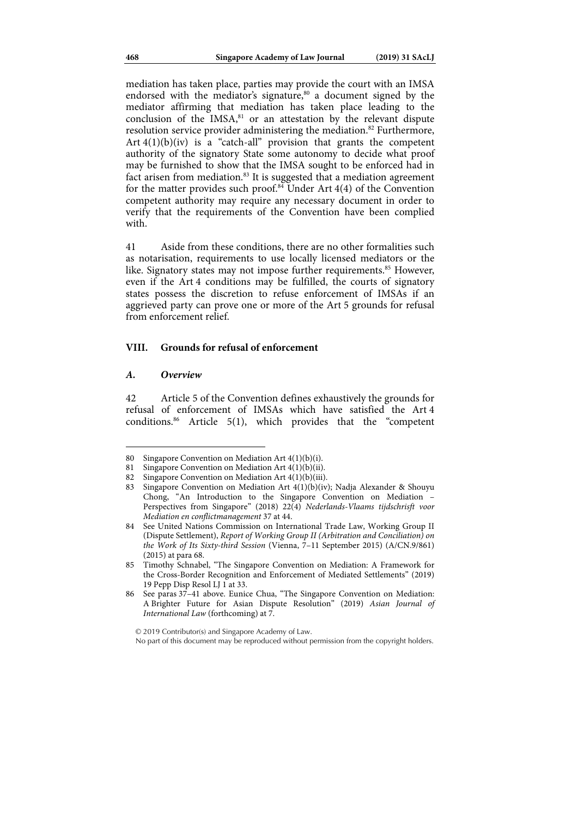mediation has taken place, parties may provide the court with an IMSA endorsed with the mediator's signature,<sup>80</sup> a document signed by the mediator affirming that mediation has taken place leading to the conclusion of the  $IMSA<sub>51</sub><sup>81</sup>$  or an attestation by the relevant dispute resolution service provider administering the mediation.<sup>82</sup> Furthermore, Art  $4(1)(b)(iv)$  is a "catch-all" provision that grants the competent authority of the signatory State some autonomy to decide what proof may be furnished to show that the IMSA sought to be enforced had in fact arisen from mediation.<sup>83</sup> It is suggested that a mediation agreement for the matter provides such proof.<sup>84</sup> Under Art 4(4) of the Convention competent authority may require any necessary document in order to verify that the requirements of the Convention have been complied with

41 Aside from these conditions, there are no other formalities such as notarisation, requirements to use locally licensed mediators or the like. Signatory states may not impose further requirements.<sup>85</sup> However, even if the Art 4 conditions may be fulfilled, the courts of signatory states possess the discretion to refuse enforcement of IMSAs if an aggrieved party can prove one or more of the Art 5 grounds for refusal from enforcement relief.

#### **VIII. Grounds for refusal of enforcement**

#### *A. Overview*

 $\overline{a}$ 

42 Article 5 of the Convention defines exhaustively the grounds for refusal of enforcement of IMSAs which have satisfied the Art 4 conditions.86 Article 5(1), which provides that the "competent

<sup>80</sup> Singapore Convention on Mediation Art 4(1)(b)(i).

<sup>81</sup> Singapore Convention on Mediation Art 4(1)(b)(ii).

<sup>82</sup> Singapore Convention on Mediation Art 4(1)(b)(iii).

<sup>83</sup> Singapore Convention on Mediation Art 4(1)(b)(iv); Nadja Alexander & Shouyu Chong, "An Introduction to the Singapore Convention on Mediation – Perspectives from Singapore" (2018) 22(4) *Nederlands-Vlaams tijdschrisft voor Mediation en conflictmanagement* 37 at 44.

<sup>84</sup> See United Nations Commission on International Trade Law, Working Group II (Dispute Settlement), *Report of Working Group II (Arbitration and Conciliation) on the Work of Its Sixty-third Session* (Vienna, 7–11 September 2015) (A/CN.9/861) (2015) at para 68.

<sup>85</sup> Timothy Schnabel, "The Singapore Convention on Mediation: A Framework for the Cross-Border Recognition and Enforcement of Mediated Settlements" (2019) 19 Pepp Disp Resol LJ 1 at 33.

<sup>86</sup> See paras 37–41 above. Eunice Chua, "The Singapore Convention on Mediation: A Brighter Future for Asian Dispute Resolution" (2019) *Asian Journal of International Law* (forthcoming) at 7.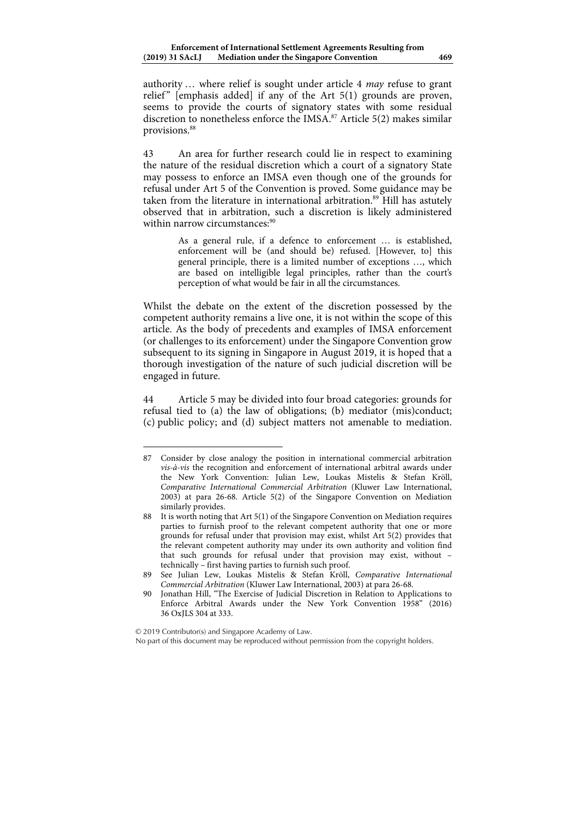authority … where relief is sought under article 4 *may* refuse to grant relief"  $[emphasis added]$  if any of the Art 5(1) grounds are proven, seems to provide the courts of signatory states with some residual discretion to nonetheless enforce the IMSA.<sup>87</sup> Article 5(2) makes similar provisions.<sup>88</sup>

43 An area for further research could lie in respect to examining the nature of the residual discretion which a court of a signatory State may possess to enforce an IMSA even though one of the grounds for refusal under Art 5 of the Convention is proved. Some guidance may be taken from the literature in international arbitration.<sup>89</sup> Hill has astutely observed that in arbitration, such a discretion is likely administered within narrow circumstances:<sup>90</sup>

> As a general rule, if a defence to enforcement … is established, enforcement will be (and should be) refused. [However, to] this general principle, there is a limited number of exceptions …, which are based on intelligible legal principles, rather than the court's perception of what would be fair in all the circumstances.

Whilst the debate on the extent of the discretion possessed by the competent authority remains a live one, it is not within the scope of this article. As the body of precedents and examples of IMSA enforcement (or challenges to its enforcement) under the Singapore Convention grow subsequent to its signing in Singapore in August 2019, it is hoped that a thorough investigation of the nature of such judicial discretion will be engaged in future.

44 Article 5 may be divided into four broad categories: grounds for refusal tied to (a) the law of obligations; (b) mediator (mis)conduct; (c) public policy; and (d) subject matters not amenable to mediation.

<sup>87</sup> Consider by close analogy the position in international commercial arbitration *vis-à-vis* the recognition and enforcement of international arbitral awards under the New York Convention: Julian Lew, Loukas Mistelis & Stefan Kröll, *Comparative International Commercial Arbitration* (Kluwer Law International, 2003) at para 26-68. Article 5(2) of the Singapore Convention on Mediation similarly provides.

<sup>88</sup> It is worth noting that Art 5(1) of the Singapore Convention on Mediation requires parties to furnish proof to the relevant competent authority that one or more grounds for refusal under that provision may exist, whilst Art 5(2) provides that the relevant competent authority may under its own authority and volition find that such grounds for refusal under that provision may exist, without – technically – first having parties to furnish such proof.

<sup>89</sup> See Julian Lew, Loukas Mistelis & Stefan Kröll, *Comparative International Commercial Arbitration* (Kluwer Law International, 2003) at para 26-68.

<sup>90</sup> Jonathan Hill, "The Exercise of Judicial Discretion in Relation to Applications to Enforce Arbitral Awards under the New York Convention 1958" (2016) 36 OxJLS 304 at 333.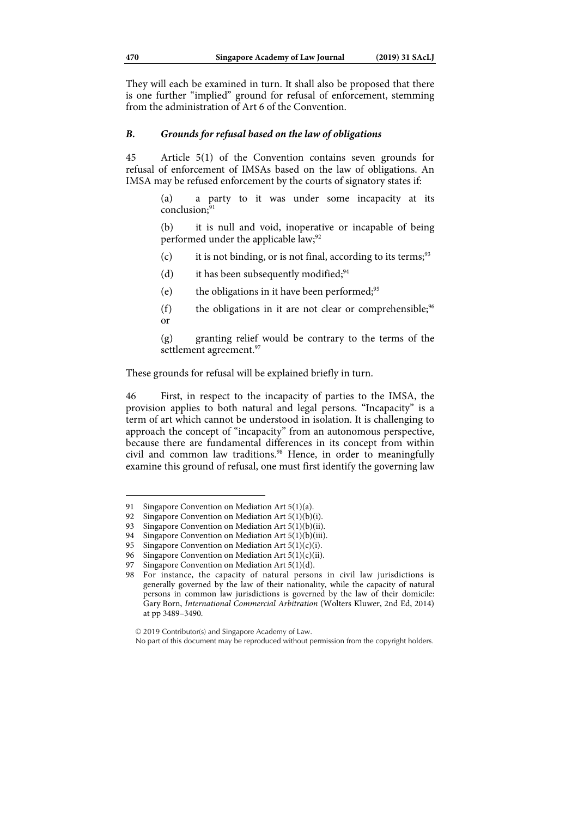They will each be examined in turn. It shall also be proposed that there is one further "implied" ground for refusal of enforcement, stemming from the administration of Art 6 of the Convention.

### *B. Grounds for refusal based on the law of obligations*

45 Article 5(1) of the Convention contains seven grounds for refusal of enforcement of IMSAs based on the law of obligations. An IMSA may be refused enforcement by the courts of signatory states if:

> (a) a party to it was under some incapacity at its  $conclusion<sup>91</sup>$

> (b) it is null and void, inoperative or incapable of being performed under the applicable law;<sup>92</sup>

- (c) it is not binding, or is not final, according to its terms;<sup>93</sup>
- (d) it has been subsequently modified;  $94$
- (e) the obligations in it have been performed;  $95$
- (f) the obligations in it are not clear or comprehensible;<sup>96</sup> or

(g) granting relief would be contrary to the terms of the settlement agreement.<sup>97</sup>

These grounds for refusal will be explained briefly in turn.

46 First, in respect to the incapacity of parties to the IMSA, the provision applies to both natural and legal persons. "Incapacity" is a term of art which cannot be understood in isolation. It is challenging to approach the concept of "incapacity" from an autonomous perspective, because there are fundamental differences in its concept from within civil and common law traditions.<sup>98</sup> Hence, in order to meaningfully examine this ground of refusal, one must first identify the governing law

<sup>91</sup> Singapore Convention on Mediation Art 5(1)(a).

<sup>92</sup> Singapore Convention on Mediation Art 5(1)(b)(i).

<sup>93</sup> Singapore Convention on Mediation Art 5(1)(b)(ii).

<sup>94</sup> Singapore Convention on Mediation Art 5(1)(b)(iii).

<sup>95</sup> Singapore Convention on Mediation Art  $5(1)(c)(i)$ .

<sup>96</sup> Singapore Convention on Mediation Art  $5(1)(c)(ii)$ .

<sup>97</sup> Singapore Convention on Mediation Art 5(1)(d).

<sup>98</sup> For instance, the capacity of natural persons in civil law jurisdictions is generally governed by the law of their nationality, while the capacity of natural persons in common law jurisdictions is governed by the law of their domicile: Gary Born, *International Commercial Arbitration* (Wolters Kluwer, 2nd Ed, 2014) at pp 3489–3490.

<sup>© 2019</sup> Contributor(s) and Singapore Academy of Law.

No part of this document may be reproduced without permission from the copyright holders.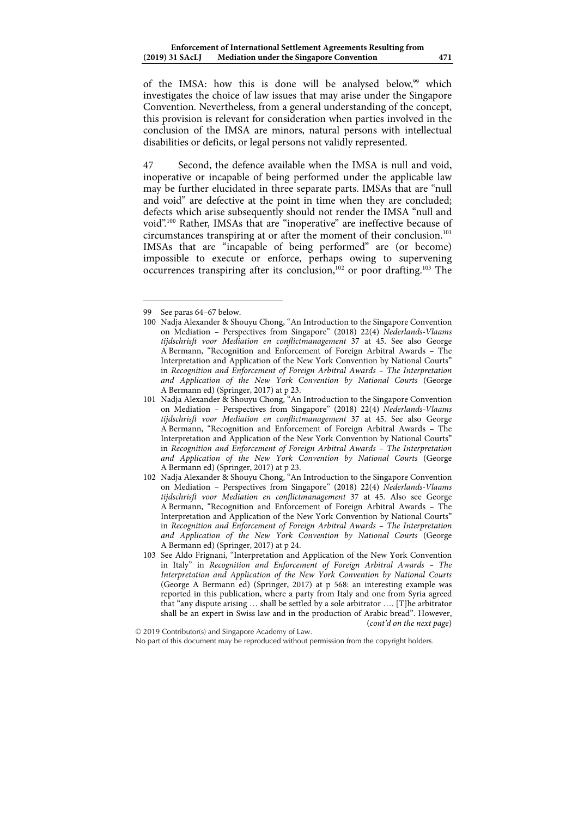of the IMSA: how this is done will be analysed below,<sup>99</sup> which investigates the choice of law issues that may arise under the Singapore Convention. Nevertheless, from a general understanding of the concept, this provision is relevant for consideration when parties involved in the conclusion of the IMSA are minors, natural persons with intellectual disabilities or deficits, or legal persons not validly represented.

47 Second, the defence available when the IMSA is null and void, inoperative or incapable of being performed under the applicable law may be further elucidated in three separate parts. IMSAs that are "null and void" are defective at the point in time when they are concluded; defects which arise subsequently should not render the IMSA "null and void".100 Rather, IMSAs that are "inoperative" are ineffective because of circumstances transpiring at or after the moment of their conclusion.<sup>101</sup> IMSAs that are "incapable of being performed" are (or become) impossible to execute or enforce, perhaps owing to supervening occurrences transpiring after its conclusion,<sup>102</sup> or poor drafting.<sup>103</sup> The

<sup>99</sup> See paras 64–67 below.

<sup>100</sup> Nadja Alexander & Shouyu Chong, "An Introduction to the Singapore Convention on Mediation – Perspectives from Singapore" (2018) 22(4) *Nederlands-Vlaams tijdschrisft voor Mediation en conflictmanagement* 37 at 45. See also George A Bermann, "Recognition and Enforcement of Foreign Arbitral Awards – The Interpretation and Application of the New York Convention by National Courts" in *Recognition and Enforcement of Foreign Arbitral Awards – The Interpretation and Application of the New York Convention by National Courts* (George A Bermann ed) (Springer, 2017) at p 23.

<sup>101</sup> Nadja Alexander & Shouyu Chong, "An Introduction to the Singapore Convention on Mediation – Perspectives from Singapore" (2018) 22(4) *Nederlands-Vlaams tijdschrisft voor Mediation en conflictmanagement* 37 at 45. See also George A Bermann, "Recognition and Enforcement of Foreign Arbitral Awards – The Interpretation and Application of the New York Convention by National Courts" in *Recognition and Enforcement of Foreign Arbitral Awards – The Interpretation and Application of the New York Convention by National Courts* (George A Bermann ed) (Springer, 2017) at p 23.

<sup>102</sup> Nadja Alexander & Shouyu Chong, "An Introduction to the Singapore Convention on Mediation – Perspectives from Singapore" (2018) 22(4) *Nederlands-Vlaams tijdschrisft voor Mediation en conflictmanagement* 37 at 45. Also see George A Bermann, "Recognition and Enforcement of Foreign Arbitral Awards – The Interpretation and Application of the New York Convention by National Courts" in *Recognition and Enforcement of Foreign Arbitral Awards – The Interpretation and Application of the New York Convention by National Courts* (George A Bermann ed) (Springer, 2017) at p 24.

<sup>103</sup> See Aldo Frignani, "Interpretation and Application of the New York Convention in Italy" in *Recognition and Enforcement of Foreign Arbitral Awards – The Interpretation and Application of the New York Convention by National Courts* (George A Bermann ed) (Springer, 2017) at p 568: an interesting example was reported in this publication, where a party from Italy and one from Syria agreed that "any dispute arising … shall be settled by a sole arbitrator …. [T]he arbitrator shall be an expert in Swiss law and in the production of Arabic bread". However, (*cont'd on the next page*)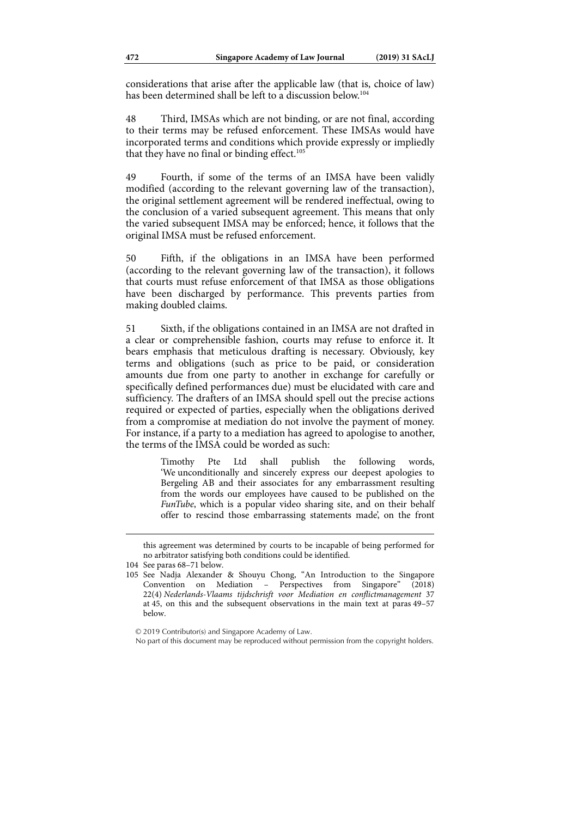considerations that arise after the applicable law (that is, choice of law) has been determined shall be left to a discussion below.<sup>104</sup>

48 Third, IMSAs which are not binding, or are not final, according to their terms may be refused enforcement. These IMSAs would have incorporated terms and conditions which provide expressly or impliedly that they have no final or binding effect.<sup>105</sup>

49 Fourth, if some of the terms of an IMSA have been validly modified (according to the relevant governing law of the transaction), the original settlement agreement will be rendered ineffectual, owing to the conclusion of a varied subsequent agreement. This means that only the varied subsequent IMSA may be enforced; hence, it follows that the original IMSA must be refused enforcement.

50 Fifth, if the obligations in an IMSA have been performed (according to the relevant governing law of the transaction), it follows that courts must refuse enforcement of that IMSA as those obligations have been discharged by performance. This prevents parties from making doubled claims.

51 Sixth, if the obligations contained in an IMSA are not drafted in a clear or comprehensible fashion, courts may refuse to enforce it. It bears emphasis that meticulous drafting is necessary. Obviously, key terms and obligations (such as price to be paid, or consideration amounts due from one party to another in exchange for carefully or specifically defined performances due) must be elucidated with care and sufficiency. The drafters of an IMSA should spell out the precise actions required or expected of parties, especially when the obligations derived from a compromise at mediation do not involve the payment of money. For instance, if a party to a mediation has agreed to apologise to another, the terms of the IMSA could be worded as such:

> Timothy Pte Ltd shall publish the following words, 'We unconditionally and sincerely express our deepest apologies to Bergeling AB and their associates for any embarrassment resulting from the words our employees have caused to be published on the *FunTube*, which is a popular video sharing site, and on their behalf offer to rescind those embarrassing statements made', on the front

1

© 2019 Contributor(s) and Singapore Academy of Law.

No part of this document may be reproduced without permission from the copyright holders.

this agreement was determined by courts to be incapable of being performed for no arbitrator satisfying both conditions could be identified.

<sup>104</sup> See paras 68–71 below.

<sup>105</sup> See Nadja Alexander & Shouyu Chong, "An Introduction to the Singapore Convention on Mediation – Perspectives from Singapore" (2018) 22(4) *Nederlands-Vlaams tijdschrisft voor Mediation en conflictmanagement* 37 at 45, on this and the subsequent observations in the main text at paras 49–57 below.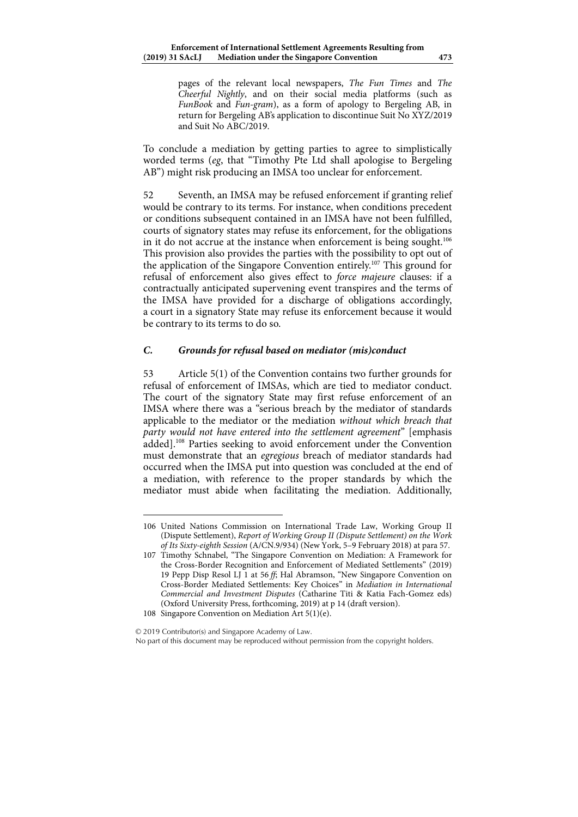pages of the relevant local newspapers, *The Fun Times* and *The Cheerful Nightly*, and on their social media platforms (such as *FunBook* and *Fun-gram*), as a form of apology to Bergeling AB, in return for Bergeling AB's application to discontinue Suit No XYZ/2019 and Suit No ABC/2019.

To conclude a mediation by getting parties to agree to simplistically worded terms (*eg*, that "Timothy Pte Ltd shall apologise to Bergeling AB") might risk producing an IMSA too unclear for enforcement.

52 Seventh, an IMSA may be refused enforcement if granting relief would be contrary to its terms. For instance, when conditions precedent or conditions subsequent contained in an IMSA have not been fulfilled, courts of signatory states may refuse its enforcement, for the obligations in it do not accrue at the instance when enforcement is being sought.<sup>106</sup> This provision also provides the parties with the possibility to opt out of the application of the Singapore Convention entirely.107 This ground for refusal of enforcement also gives effect to *force majeure* clauses: if a contractually anticipated supervening event transpires and the terms of the IMSA have provided for a discharge of obligations accordingly, a court in a signatory State may refuse its enforcement because it would be contrary to its terms to do so.

## *C. Grounds for refusal based on mediator (mis)conduct*

53 Article 5(1) of the Convention contains two further grounds for refusal of enforcement of IMSAs, which are tied to mediator conduct. The court of the signatory State may first refuse enforcement of an IMSA where there was a "serious breach by the mediator of standards applicable to the mediator or the mediation *without which breach that party would not have entered into the settlement agreement*" [emphasis added].108 Parties seeking to avoid enforcement under the Convention must demonstrate that an *egregious* breach of mediator standards had occurred when the IMSA put into question was concluded at the end of a mediation, with reference to the proper standards by which the mediator must abide when facilitating the mediation. Additionally,

© 2019 Contributor(s) and Singapore Academy of Law.

<sup>106</sup> United Nations Commission on International Trade Law, Working Group II (Dispute Settlement), *Report of Working Group II (Dispute Settlement) on the Work of Its Sixty-eighth Session* (A/CN.9/934) (New York, 5–9 February 2018) at para 57.

<sup>107</sup> Timothy Schnabel, "The Singapore Convention on Mediation: A Framework for the Cross-Border Recognition and Enforcement of Mediated Settlements" (2019) 19 Pepp Disp Resol LJ 1 at 56 *ff*; Hal Abramson, "New Singapore Convention on Cross-Border Mediated Settlements: Key Choices" in *Mediation in International Commercial and Investment Disputes* (Catharine Titi & Katia Fach-Gomez eds) (Oxford University Press, forthcoming, 2019) at p 14 (draft version).

<sup>108</sup> Singapore Convention on Mediation Art 5(1)(e).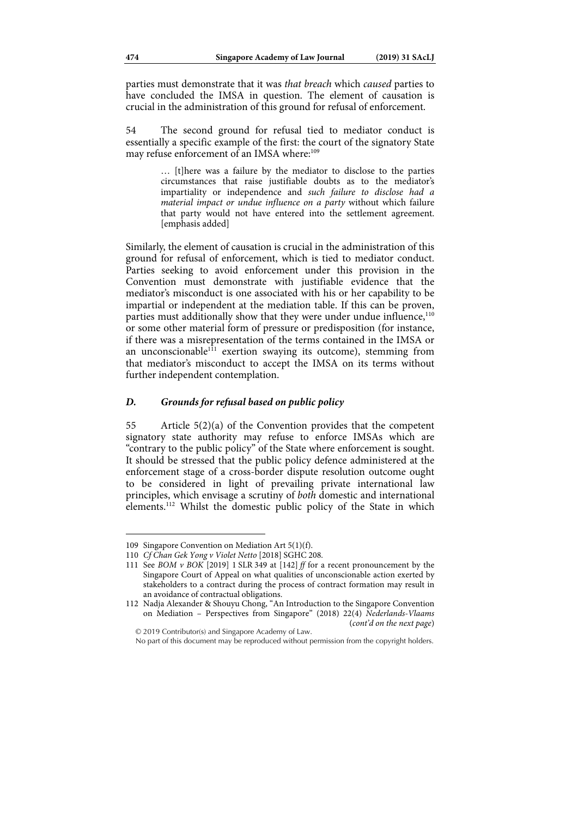parties must demonstrate that it was *that breach* which *caused* parties to have concluded the IMSA in question. The element of causation is crucial in the administration of this ground for refusal of enforcement.

54 The second ground for refusal tied to mediator conduct is essentially a specific example of the first: the court of the signatory State may refuse enforcement of an IMSA where:<sup>109</sup>

> … [t]here was a failure by the mediator to disclose to the parties circumstances that raise justifiable doubts as to the mediator's impartiality or independence and *such failure to disclose had a material impact or undue influence on a party* without which failure that party would not have entered into the settlement agreement. [emphasis added]

Similarly, the element of causation is crucial in the administration of this ground for refusal of enforcement, which is tied to mediator conduct. Parties seeking to avoid enforcement under this provision in the Convention must demonstrate with justifiable evidence that the mediator's misconduct is one associated with his or her capability to be impartial or independent at the mediation table. If this can be proven, parties must additionally show that they were under undue influence,<sup>110</sup> or some other material form of pressure or predisposition (for instance, if there was a misrepresentation of the terms contained in the IMSA or an unconscionable<sup>111</sup> exertion swaying its outcome), stemming from that mediator's misconduct to accept the IMSA on its terms without further independent contemplation.

#### *D. Grounds for refusal based on public policy*

55 Article 5(2)(a) of the Convention provides that the competent signatory state authority may refuse to enforce IMSAs which are "contrary to the public policy" of the State where enforcement is sought. It should be stressed that the public policy defence administered at the enforcement stage of a cross-border dispute resolution outcome ought to be considered in light of prevailing private international law principles, which envisage a scrutiny of *both* domestic and international elements.<sup>112</sup> Whilst the domestic public policy of the State in which

1

© 2019 Contributor(s) and Singapore Academy of Law.

<sup>109</sup> Singapore Convention on Mediation Art 5(1)(f).

<sup>110</sup> *Cf Chan Gek Yong v Violet Netto* [2018] SGHC 208.

<sup>111</sup> See *BOM v BOK* [2019] 1 SLR 349 at [142] *ff* for a recent pronouncement by the Singapore Court of Appeal on what qualities of unconscionable action exerted by stakeholders to a contract during the process of contract formation may result in an avoidance of contractual obligations.

<sup>112</sup> Nadja Alexander & Shouyu Chong, "An Introduction to the Singapore Convention on Mediation – Perspectives from Singapore" (2018) 22(4) *Nederlands-Vlaams*  (*cont'd on the next page*)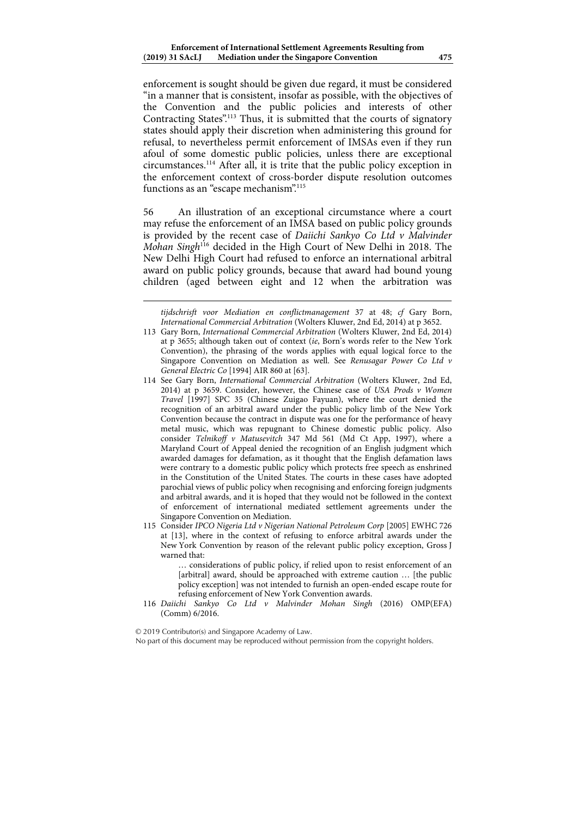enforcement is sought should be given due regard, it must be considered "in a manner that is consistent, insofar as possible, with the objectives of the Convention and the public policies and interests of other Contracting States".<sup>113</sup> Thus, it is submitted that the courts of signatory states should apply their discretion when administering this ground for refusal, to nevertheless permit enforcement of IMSAs even if they run afoul of some domestic public policies, unless there are exceptional circumstances.114 After all, it is trite that the public policy exception in the enforcement context of cross-border dispute resolution outcomes functions as an "escape mechanism".<sup>115</sup>

56 An illustration of an exceptional circumstance where a court may refuse the enforcement of an IMSA based on public policy grounds is provided by the recent case of *Daiichi Sankyo Co Ltd v Malvinder Mohan Singh*116 decided in the High Court of New Delhi in 2018. The New Delhi High Court had refused to enforce an international arbitral award on public policy grounds, because that award had bound young children (aged between eight and 12 when the arbitration was

*tijdschrisft voor Mediation en conflictmanagement* 37 at 48; *cf* Gary Born, *International Commercial Arbitration* (Wolters Kluwer, 2nd Ed, 2014) at p 3652.

- 114 See Gary Born, *International Commercial Arbitration* (Wolters Kluwer, 2nd Ed, 2014) at p 3659. Consider, however, the Chinese case of *USA Prods v Women Travel* [1997] SPC 35 (Chinese Zuigao Fayuan), where the court denied the recognition of an arbitral award under the public policy limb of the New York Convention because the contract in dispute was one for the performance of heavy metal music, which was repugnant to Chinese domestic public policy. Also consider *Telnikoff v Matusevitch* 347 Md 561 (Md Ct App, 1997), where a Maryland Court of Appeal denied the recognition of an English judgment which awarded damages for defamation, as it thought that the English defamation laws were contrary to a domestic public policy which protects free speech as enshrined in the Constitution of the United States. The courts in these cases have adopted parochial views of public policy when recognising and enforcing foreign judgments and arbitral awards, and it is hoped that they would not be followed in the context of enforcement of international mediated settlement agreements under the Singapore Convention on Mediation.
- 115 Consider *IPCO Nigeria Ltd v Nigerian National Petroleum Corp* [2005] EWHC 726 at [13], where in the context of refusing to enforce arbitral awards under the New York Convention by reason of the relevant public policy exception, Gross J warned that:

… considerations of public policy, if relied upon to resist enforcement of an [arbitral] award, should be approached with extreme caution … [the public policy exception] was not intended to furnish an open-ended escape route for refusing enforcement of New York Convention awards.

116 *Daiichi Sankyo Co Ltd v Malvinder Mohan Singh* (2016) OMP(EFA) (Comm) 6/2016.

<sup>113</sup> Gary Born, *International Commercial Arbitration* (Wolters Kluwer, 2nd Ed, 2014) at p 3655; although taken out of context (*ie*, Born's words refer to the New York Convention), the phrasing of the words applies with equal logical force to the Singapore Convention on Mediation as well. See *Renusagar Power Co Ltd v General Electric Co* [1994] AIR 860 at [63].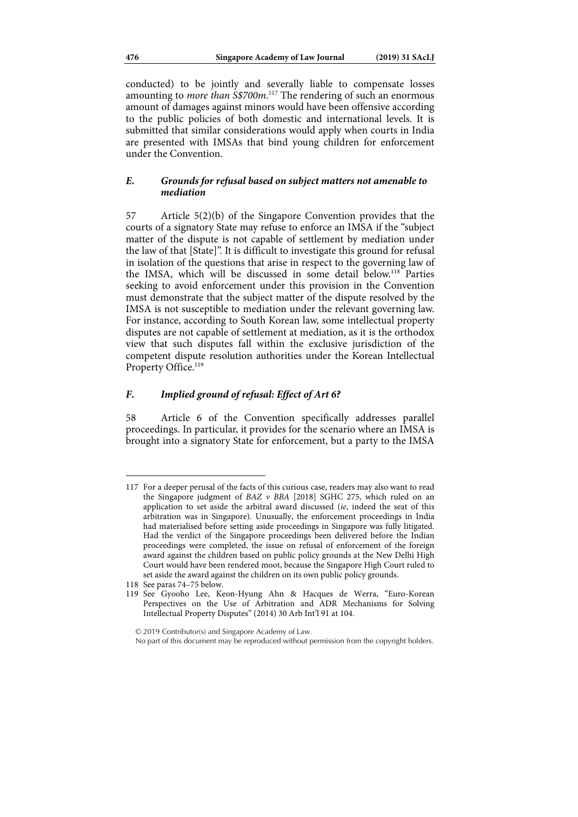conducted) to be jointly and severally liable to compensate losses amounting to *more than S\$700m*. 117 The rendering of such an enormous amount of damages against minors would have been offensive according to the public policies of both domestic and international levels. It is submitted that similar considerations would apply when courts in India are presented with IMSAs that bind young children for enforcement under the Convention.

### *E. Grounds for refusal based on subject matters not amenable to mediation*

57 Article 5(2)(b) of the Singapore Convention provides that the courts of a signatory State may refuse to enforce an IMSA if the "subject matter of the dispute is not capable of settlement by mediation under the law of that [State]". It is difficult to investigate this ground for refusal in isolation of the questions that arise in respect to the governing law of the IMSA, which will be discussed in some detail below.118 Parties seeking to avoid enforcement under this provision in the Convention must demonstrate that the subject matter of the dispute resolved by the IMSA is not susceptible to mediation under the relevant governing law. For instance, according to South Korean law, some intellectual property disputes are not capable of settlement at mediation, as it is the orthodox view that such disputes fall within the exclusive jurisdiction of the competent dispute resolution authorities under the Korean Intellectual Property Office.<sup>119</sup>

#### *F. Implied ground of refusal: Effect of Art 6?*

58 Article 6 of the Convention specifically addresses parallel proceedings. In particular, it provides for the scenario where an IMSA is brought into a signatory State for enforcement, but a party to the IMSA

<sup>117</sup> For a deeper perusal of the facts of this curious case, readers may also want to read the Singapore judgment of *BAZ v BBA* [2018] SGHC 275, which ruled on an application to set aside the arbitral award discussed (*ie*, indeed the seat of this arbitration was in Singapore). Unusually, the enforcement proceedings in India had materialised before setting aside proceedings in Singapore was fully litigated. Had the verdict of the Singapore proceedings been delivered before the Indian proceedings were completed, the issue on refusal of enforcement of the foreign award against the children based on public policy grounds at the New Delhi High Court would have been rendered moot, because the Singapore High Court ruled to set aside the award against the children on its own public policy grounds.

<sup>118</sup> See paras 74–75 below.

<sup>119</sup> See Gyooho Lee, Keon-Hyung Ahn & Hacques de Werra, "Euro-Korean Perspectives on the Use of Arbitration and ADR Mechanisms for Solving Intellectual Property Disputes" (2014) 30 Arb Int'l 91 at 104.

No part of this document may be reproduced without permission from the copyright holders.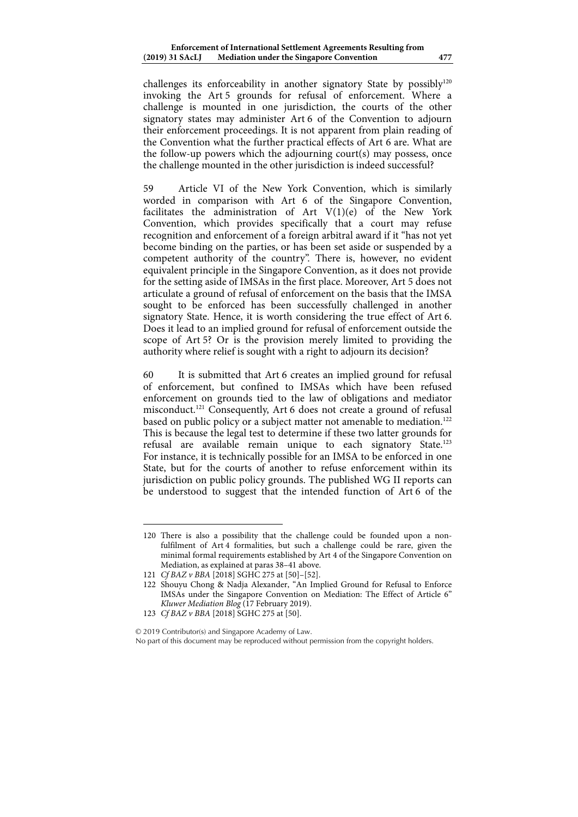challenges its enforceability in another signatory State by possibly<sup>120</sup> invoking the Art 5 grounds for refusal of enforcement. Where a challenge is mounted in one jurisdiction, the courts of the other signatory states may administer Art 6 of the Convention to adjourn their enforcement proceedings. It is not apparent from plain reading of the Convention what the further practical effects of Art 6 are. What are the follow-up powers which the adjourning court(s) may possess, once the challenge mounted in the other jurisdiction is indeed successful?

59 Article VI of the New York Convention, which is similarly worded in comparison with Art 6 of the Singapore Convention, facilitates the administration of Art V(1)(e) of the New York Convention, which provides specifically that a court may refuse recognition and enforcement of a foreign arbitral award if it "has not yet become binding on the parties, or has been set aside or suspended by a competent authority of the country". There is, however, no evident equivalent principle in the Singapore Convention, as it does not provide for the setting aside of IMSAs in the first place. Moreover, Art 5 does not articulate a ground of refusal of enforcement on the basis that the IMSA sought to be enforced has been successfully challenged in another signatory State. Hence, it is worth considering the true effect of Art 6. Does it lead to an implied ground for refusal of enforcement outside the scope of Art 5? Or is the provision merely limited to providing the authority where relief is sought with a right to adjourn its decision?

60 It is submitted that Art 6 creates an implied ground for refusal of enforcement, but confined to IMSAs which have been refused enforcement on grounds tied to the law of obligations and mediator misconduct.121 Consequently, Art 6 does not create a ground of refusal based on public policy or a subject matter not amenable to mediation.<sup>122</sup> This is because the legal test to determine if these two latter grounds for refusal are available remain unique to each signatory State.<sup>123</sup> For instance, it is technically possible for an IMSA to be enforced in one State, but for the courts of another to refuse enforcement within its jurisdiction on public policy grounds. The published WG II reports can be understood to suggest that the intended function of Art 6 of the

1

#### © 2019 Contributor(s) and Singapore Academy of Law.

No part of this document may be reproduced without permission from the copyright holders.

<sup>120</sup> There is also a possibility that the challenge could be founded upon a nonfulfilment of Art 4 formalities, but such a challenge could be rare, given the minimal formal requirements established by Art 4 of the Singapore Convention on Mediation, as explained at paras 38–41 above.

<sup>121</sup> *Cf BAZ v BBA* [2018] SGHC 275 at [50]–[52].

<sup>122</sup> Shouyu Chong & Nadja Alexander, "An Implied Ground for Refusal to Enforce IMSAs under the Singapore Convention on Mediation: The Effect of Article 6" *Kluwer Mediation Blog* (17 February 2019).

<sup>123</sup> *Cf BAZ v BBA* [2018] SGHC 275 at [50].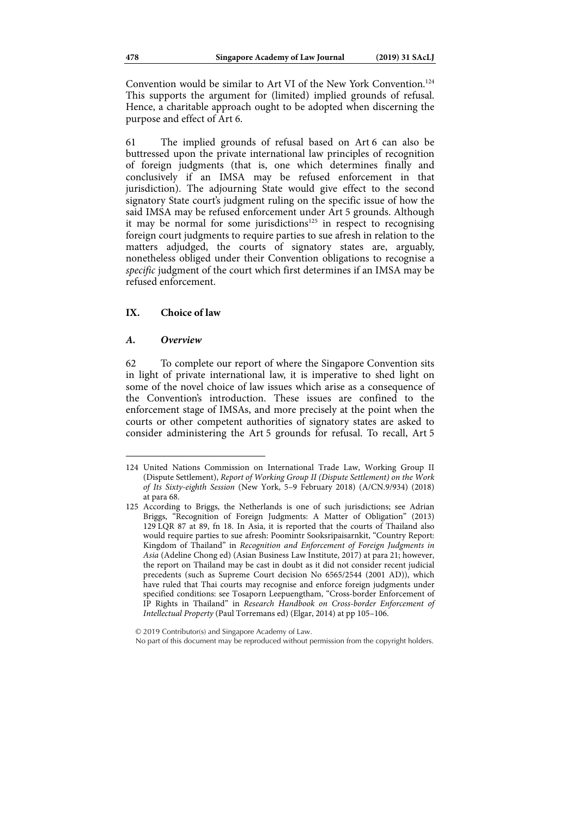Convention would be similar to Art VI of the New York Convention.<sup>124</sup> This supports the argument for (limited) implied grounds of refusal. Hence, a charitable approach ought to be adopted when discerning the purpose and effect of Art 6.

61 The implied grounds of refusal based on Art 6 can also be buttressed upon the private international law principles of recognition of foreign judgments (that is, one which determines finally and conclusively if an IMSA may be refused enforcement in that jurisdiction). The adjourning State would give effect to the second signatory State court's judgment ruling on the specific issue of how the said IMSA may be refused enforcement under Art 5 grounds. Although it may be normal for some jurisdictions<sup>125</sup> in respect to recognising foreign court judgments to require parties to sue afresh in relation to the matters adjudged, the courts of signatory states are, arguably, nonetheless obliged under their Convention obligations to recognise a *specific* judgment of the court which first determines if an IMSA may be refused enforcement.

### **IX. Choice of law**

#### *A. Overview*

1

62 To complete our report of where the Singapore Convention sits in light of private international law, it is imperative to shed light on some of the novel choice of law issues which arise as a consequence of the Convention's introduction. These issues are confined to the enforcement stage of IMSAs, and more precisely at the point when the courts or other competent authorities of signatory states are asked to consider administering the Art 5 grounds for refusal. To recall, Art 5

<sup>124</sup> United Nations Commission on International Trade Law, Working Group II (Dispute Settlement), *Report of Working Group II (Dispute Settlement) on the Work of Its Sixty-eighth Session* (New York, 5–9 February 2018) (A/CN.9/934) (2018) at para 68.

<sup>125</sup> According to Briggs, the Netherlands is one of such jurisdictions; see Adrian Briggs, "Recognition of Foreign Judgments: A Matter of Obligation" (2013) 129 LQR 87 at 89, fn 18. In Asia, it is reported that the courts of Thailand also would require parties to sue afresh: Poomintr Sooksripaisarnkit, "Country Report: Kingdom of Thailand" in *Recognition and Enforcement of Foreign Judgments in Asia* (Adeline Chong ed) (Asian Business Law Institute, 2017) at para 21; however, the report on Thailand may be cast in doubt as it did not consider recent judicial precedents (such as Supreme Court decision No 6565/2544 (2001 AD)), which have ruled that Thai courts may recognise and enforce foreign judgments under specified conditions: see Tosaporn Leepuengtham, "Cross-border Enforcement of IP Rights in Thailand" in *Research Handbook on Cross-border Enforcement of Intellectual Property* (Paul Torremans ed) (Elgar, 2014) at pp 105–106.

No part of this document may be reproduced without permission from the copyright holders.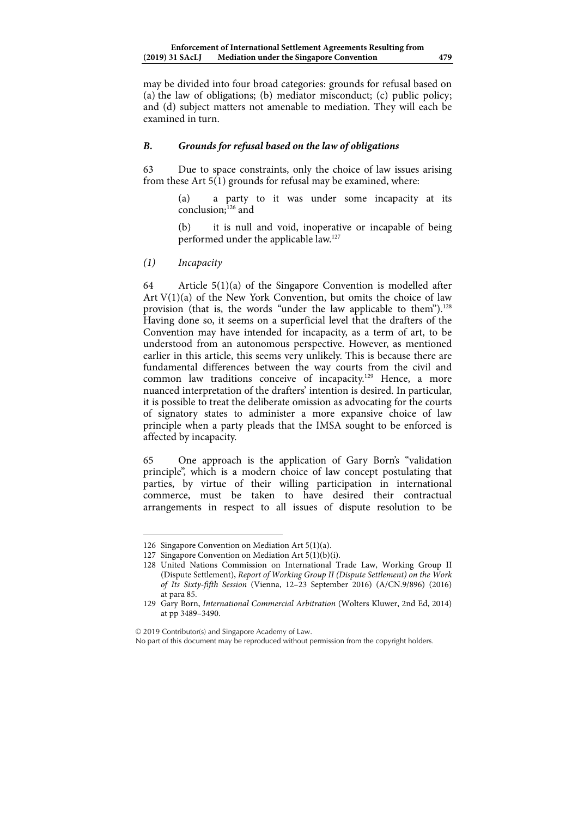may be divided into four broad categories: grounds for refusal based on (a) the law of obligations; (b) mediator misconduct; (c) public policy; and (d) subject matters not amenable to mediation. They will each be examined in turn.

## *B. Grounds for refusal based on the law of obligations*

63 Due to space constraints, only the choice of law issues arising from these Art 5(1) grounds for refusal may be examined, where:

> (a) a party to it was under some incapacity at its  $conclusion<sup>126</sup>$  and

> (b) it is null and void, inoperative or incapable of being performed under the applicable law.127

*(1) Incapacity* 

1

64 Article 5(1)(a) of the Singapore Convention is modelled after Art V(1)(a) of the New York Convention, but omits the choice of law provision (that is, the words "under the law applicable to them").<sup>128</sup> Having done so, it seems on a superficial level that the drafters of the Convention may have intended for incapacity, as a term of art, to be understood from an autonomous perspective. However, as mentioned earlier in this article, this seems very unlikely. This is because there are fundamental differences between the way courts from the civil and common law traditions conceive of incapacity.129 Hence, a more nuanced interpretation of the drafters' intention is desired. In particular, it is possible to treat the deliberate omission as advocating for the courts of signatory states to administer a more expansive choice of law principle when a party pleads that the IMSA sought to be enforced is affected by incapacity.

65 One approach is the application of Gary Born's "validation principle", which is a modern choice of law concept postulating that parties, by virtue of their willing participation in international commerce, must be taken to have desired their contractual arrangements in respect to all issues of dispute resolution to be

© 2019 Contributor(s) and Singapore Academy of Law.

<sup>126</sup> Singapore Convention on Mediation Art 5(1)(a).

<sup>127</sup> Singapore Convention on Mediation Art 5(1)(b)(i).

<sup>128</sup> United Nations Commission on International Trade Law, Working Group II (Dispute Settlement), *Report of Working Group II (Dispute Settlement) on the Work of Its Sixty-fifth Session* (Vienna, 12–23 September 2016) (A/CN.9/896) (2016) at para 85.

<sup>129</sup> Gary Born, *International Commercial Arbitration* (Wolters Kluwer, 2nd Ed, 2014) at pp 3489–3490.

No part of this document may be reproduced without permission from the copyright holders.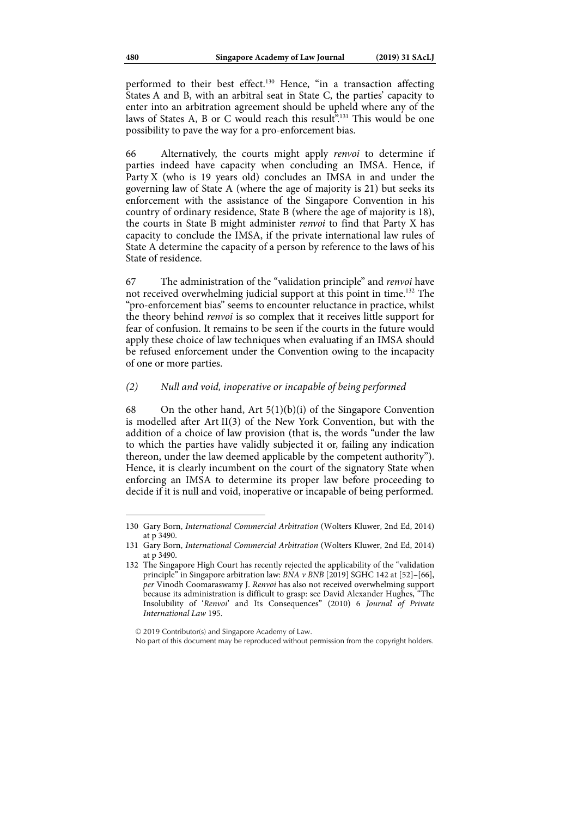performed to their best effect.<sup>130</sup> Hence, "in a transaction affecting States A and B, with an arbitral seat in State C, the parties' capacity to enter into an arbitration agreement should be upheld where any of the laws of States A, B or C would reach this result<sup> $\ddot{r}$ </sup>.<sup>131</sup> This would be one possibility to pave the way for a pro-enforcement bias.

66 Alternatively, the courts might apply *renvoi* to determine if parties indeed have capacity when concluding an IMSA. Hence, if Party X (who is 19 years old) concludes an IMSA in and under the governing law of State A (where the age of majority is 21) but seeks its enforcement with the assistance of the Singapore Convention in his country of ordinary residence, State B (where the age of majority is 18), the courts in State B might administer *renvoi* to find that Party X has capacity to conclude the IMSA, if the private international law rules of State A determine the capacity of a person by reference to the laws of his State of residence.

67 The administration of the "validation principle" and *renvoi* have not received overwhelming judicial support at this point in time.132 The "pro-enforcement bias" seems to encounter reluctance in practice, whilst the theory behind *renvoi* is so complex that it receives little support for fear of confusion. It remains to be seen if the courts in the future would apply these choice of law techniques when evaluating if an IMSA should be refused enforcement under the Convention owing to the incapacity of one or more parties.

## *(2) Null and void, inoperative or incapable of being performed*

68 On the other hand, Art  $5(1)(b)(i)$  of the Singapore Convention is modelled after Art II(3) of the New York Convention, but with the addition of a choice of law provision (that is, the words "under the law to which the parties have validly subjected it or, failing any indication thereon, under the law deemed applicable by the competent authority"). Hence, it is clearly incumbent on the court of the signatory State when enforcing an IMSA to determine its proper law before proceeding to decide if it is null and void, inoperative or incapable of being performed.

No part of this document may be reproduced without permission from the copyright holders.

<sup>130</sup> Gary Born, *International Commercial Arbitration* (Wolters Kluwer, 2nd Ed, 2014) at p 3490.

<sup>131</sup> Gary Born, *International Commercial Arbitration* (Wolters Kluwer, 2nd Ed, 2014) at p 3490.

<sup>132</sup> The Singapore High Court has recently rejected the applicability of the "validation principle" in Singapore arbitration law: *BNA v BNB* [2019] SGHC 142 at [52]-[66], *per* Vinodh Coomaraswamy J. *Renvoi* has also not received overwhelming support because its administration is difficult to grasp: see David Alexander Hughes, "The Insolubility of '*Renvoi*' and Its Consequences" (2010) 6 *Journal of Private International Law* 195.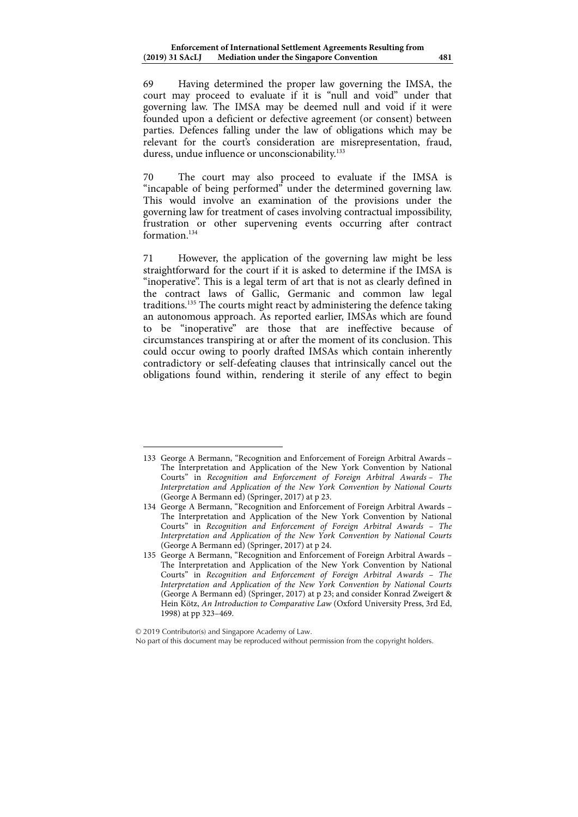69 Having determined the proper law governing the IMSA, the court may proceed to evaluate if it is "null and void" under that governing law. The IMSA may be deemed null and void if it were founded upon a deficient or defective agreement (or consent) between parties. Defences falling under the law of obligations which may be relevant for the court's consideration are misrepresentation, fraud, duress, undue influence or unconscionability.<sup>133</sup>

70 The court may also proceed to evaluate if the IMSA is "incapable of being performed" under the determined governing law. This would involve an examination of the provisions under the governing law for treatment of cases involving contractual impossibility, frustration or other supervening events occurring after contract formation<sup>134</sup>

71 However, the application of the governing law might be less straightforward for the court if it is asked to determine if the IMSA is "inoperative". This is a legal term of art that is not as clearly defined in the contract laws of Gallic, Germanic and common law legal traditions.135 The courts might react by administering the defence taking an autonomous approach. As reported earlier, IMSAs which are found to be "inoperative" are those that are ineffective because of circumstances transpiring at or after the moment of its conclusion. This could occur owing to poorly drafted IMSAs which contain inherently contradictory or self-defeating clauses that intrinsically cancel out the obligations found within, rendering it sterile of any effect to begin

<sup>133</sup> George A Bermann, "Recognition and Enforcement of Foreign Arbitral Awards – The Interpretation and Application of the New York Convention by National Courts" in *Recognition and Enforcement of Foreign Arbitral Awards – The Interpretation and Application of the New York Convention by National Courts* (George A Bermann ed) (Springer, 2017) at p 23.

<sup>134</sup> George A Bermann, "Recognition and Enforcement of Foreign Arbitral Awards – The Interpretation and Application of the New York Convention by National Courts" in *Recognition and Enforcement of Foreign Arbitral Awards – The Interpretation and Application of the New York Convention by National Courts* (George A Bermann ed) (Springer, 2017) at p 24.

<sup>135</sup> George A Bermann, "Recognition and Enforcement of Foreign Arbitral Awards – The Interpretation and Application of the New York Convention by National Courts" in *Recognition and Enforcement of Foreign Arbitral Awards – The Interpretation and Application of the New York Convention by National Courts* (George A Bermann ed) (Springer, 2017) at p 23; and consider Konrad Zweigert & Hein Kötz, *An Introduction to Comparative Law* (Oxford University Press, 3rd Ed, 1998) at pp 323–469.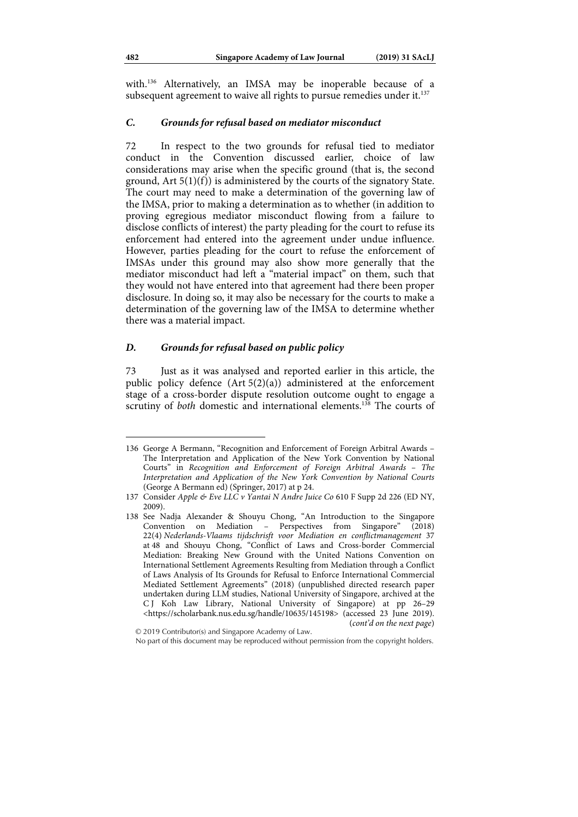with.136 Alternatively, an IMSA may be inoperable because of a subsequent agreement to waive all rights to pursue remedies under it.<sup>137</sup>

#### *C. Grounds for refusal based on mediator misconduct*

72 In respect to the two grounds for refusal tied to mediator conduct in the Convention discussed earlier, choice of law considerations may arise when the specific ground (that is, the second ground,  $Art 5(1)(f)$  is administered by the courts of the signatory State. The court may need to make a determination of the governing law of the IMSA, prior to making a determination as to whether (in addition to proving egregious mediator misconduct flowing from a failure to disclose conflicts of interest) the party pleading for the court to refuse its enforcement had entered into the agreement under undue influence. However, parties pleading for the court to refuse the enforcement of IMSAs under this ground may also show more generally that the mediator misconduct had left a "material impact" on them, such that they would not have entered into that agreement had there been proper disclosure. In doing so, it may also be necessary for the courts to make a determination of the governing law of the IMSA to determine whether there was a material impact.

#### *D. Grounds for refusal based on public policy*

73 Just as it was analysed and reported earlier in this article, the public policy defence (Art 5(2)(a)) administered at the enforcement stage of a cross-border dispute resolution outcome ought to engage a scrutiny of *both* domestic and international elements.<sup>138</sup> The courts of

<sup>136</sup> George A Bermann, "Recognition and Enforcement of Foreign Arbitral Awards – The Interpretation and Application of the New York Convention by National Courts" in *Recognition and Enforcement of Foreign Arbitral Awards – The Interpretation and Application of the New York Convention by National Courts* (George A Bermann ed) (Springer, 2017) at p 24.

<sup>137</sup> Consider *Apple & Eve LLC v Yantai N Andre Juice Co* 610 F Supp 2d 226 (ED NY, 2009).

<sup>138</sup> See Nadja Alexander & Shouyu Chong, "An Introduction to the Singapore Convention on Mediation – Perspectives from Singapore" (2018) 22(4) *Nederlands-Vlaams tijdschrisft voor Mediation en conflictmanagement* 37 at 48 and Shouyu Chong, "Conflict of Laws and Cross-border Commercial Mediation: Breaking New Ground with the United Nations Convention on International Settlement Agreements Resulting from Mediation through a Conflict of Laws Analysis of Its Grounds for Refusal to Enforce International Commercial Mediated Settlement Agreements" (2018) (unpublished directed research paper undertaken during LLM studies, National University of Singapore, archived at the C J Koh Law Library, National University of Singapore) at pp 26–29 <https://scholarbank.nus.edu.sg/handle/10635/145198> (accessed 23 June 2019). (*cont'd on the next page*)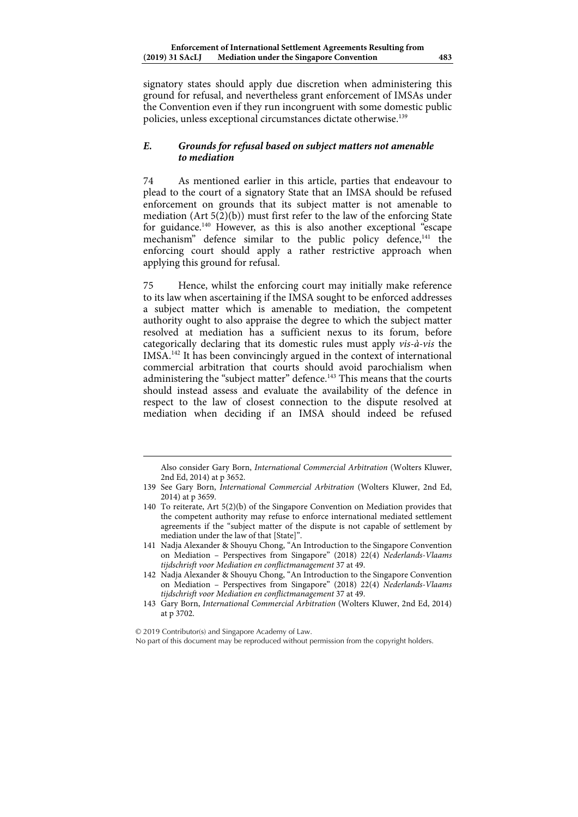signatory states should apply due discretion when administering this ground for refusal, and nevertheless grant enforcement of IMSAs under the Convention even if they run incongruent with some domestic public policies, unless exceptional circumstances dictate otherwise.<sup>139</sup>

## *E. Grounds for refusal based on subject matters not amenable to mediation*

74 As mentioned earlier in this article, parties that endeavour to plead to the court of a signatory State that an IMSA should be refused enforcement on grounds that its subject matter is not amenable to mediation (Art  $5(2)(b)$ ) must first refer to the law of the enforcing State for guidance.140 However, as this is also another exceptional "escape mechanism" defence similar to the public policy defence,<sup>141</sup> the enforcing court should apply a rather restrictive approach when applying this ground for refusal.

75 Hence, whilst the enforcing court may initially make reference to its law when ascertaining if the IMSA sought to be enforced addresses a subject matter which is amenable to mediation, the competent authority ought to also appraise the degree to which the subject matter resolved at mediation has a sufficient nexus to its forum, before categorically declaring that its domestic rules must apply *vis-à-vis* the IMSA.142 It has been convincingly argued in the context of international commercial arbitration that courts should avoid parochialism when administering the "subject matter" defence.<sup>143</sup> This means that the courts should instead assess and evaluate the availability of the defence in respect to the law of closest connection to the dispute resolved at mediation when deciding if an IMSA should indeed be refused

1

No part of this document may be reproduced without permission from the copyright holders.

Also consider Gary Born, *International Commercial Arbitration* (Wolters Kluwer, 2nd Ed, 2014) at p 3652.

<sup>139</sup> See Gary Born, *International Commercial Arbitration* (Wolters Kluwer, 2nd Ed, 2014) at p 3659.

<sup>140</sup> To reiterate, Art 5(2)(b) of the Singapore Convention on Mediation provides that the competent authority may refuse to enforce international mediated settlement agreements if the "subject matter of the dispute is not capable of settlement by mediation under the law of that [State]".

<sup>141</sup> Nadja Alexander & Shouyu Chong, "An Introduction to the Singapore Convention on Mediation – Perspectives from Singapore" (2018) 22(4) *Nederlands-Vlaams tijdschrisft voor Mediation en conflictmanagement* 37 at 49.

<sup>142</sup> Nadja Alexander & Shouyu Chong, "An Introduction to the Singapore Convention on Mediation – Perspectives from Singapore" (2018) 22(4) *Nederlands-Vlaams tijdschrisft voor Mediation en conflictmanagement* 37 at 49.

<sup>143</sup> Gary Born, *International Commercial Arbitration* (Wolters Kluwer, 2nd Ed, 2014) at p 3702.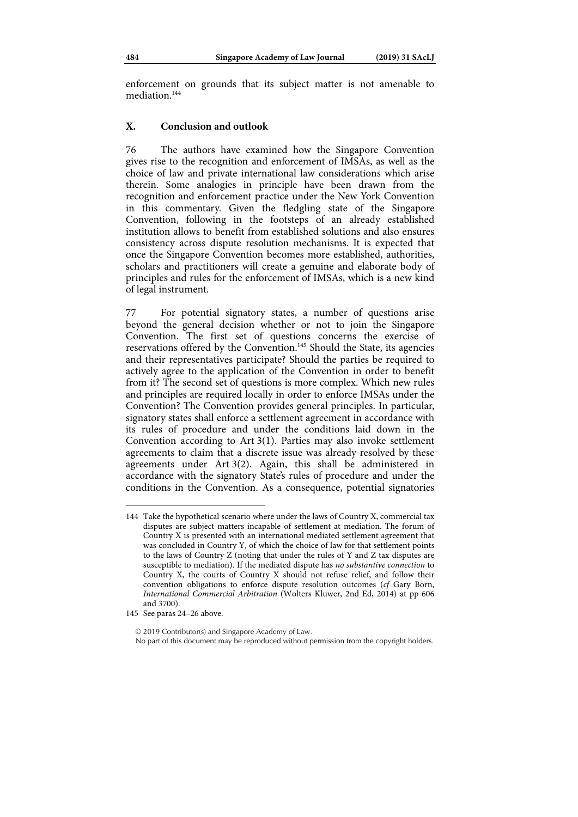enforcement on grounds that its subject matter is not amenable to mediation<sup>144</sup>

### **X. Conclusion and outlook**

76 The authors have examined how the Singapore Convention gives rise to the recognition and enforcement of IMSAs, as well as the choice of law and private international law considerations which arise therein. Some analogies in principle have been drawn from the recognition and enforcement practice under the New York Convention in this commentary. Given the fledgling state of the Singapore Convention, following in the footsteps of an already established institution allows to benefit from established solutions and also ensures consistency across dispute resolution mechanisms. It is expected that once the Singapore Convention becomes more established, authorities, scholars and practitioners will create a genuine and elaborate body of principles and rules for the enforcement of IMSAs, which is a new kind of legal instrument.

77 For potential signatory states, a number of questions arise beyond the general decision whether or not to join the Singapore Convention. The first set of questions concerns the exercise of reservations offered by the Convention.145 Should the State, its agencies and their representatives participate? Should the parties be required to actively agree to the application of the Convention in order to benefit from it? The second set of questions is more complex. Which new rules and principles are required locally in order to enforce IMSAs under the Convention? The Convention provides general principles. In particular, signatory states shall enforce a settlement agreement in accordance with its rules of procedure and under the conditions laid down in the Convention according to Art 3(1). Parties may also invoke settlement agreements to claim that a discrete issue was already resolved by these agreements under Art 3(2). Again, this shall be administered in accordance with the signatory State's rules of procedure and under the conditions in the Convention. As a consequence, potential signatories

1

© 2019 Contributor(s) and Singapore Academy of Law. No part of this document may be reproduced without permission from the copyright holders.

<sup>144</sup> Take the hypothetical scenario where under the laws of Country X, commercial tax disputes are subject matters incapable of settlement at mediation. The forum of Country X is presented with an international mediated settlement agreement that was concluded in Country Y, of which the choice of law for that settlement points to the laws of Country Z (noting that under the rules of Y and Z tax disputes are susceptible to mediation). If the mediated dispute has *no substantive connection* to Country X, the courts of Country X should not refuse relief, and follow their convention obligations to enforce dispute resolution outcomes (*cf* Gary Born, *International Commercial Arbitration* (Wolters Kluwer, 2nd Ed, 2014) at pp 606 and 3700).

<sup>145</sup> See paras 24–26 above.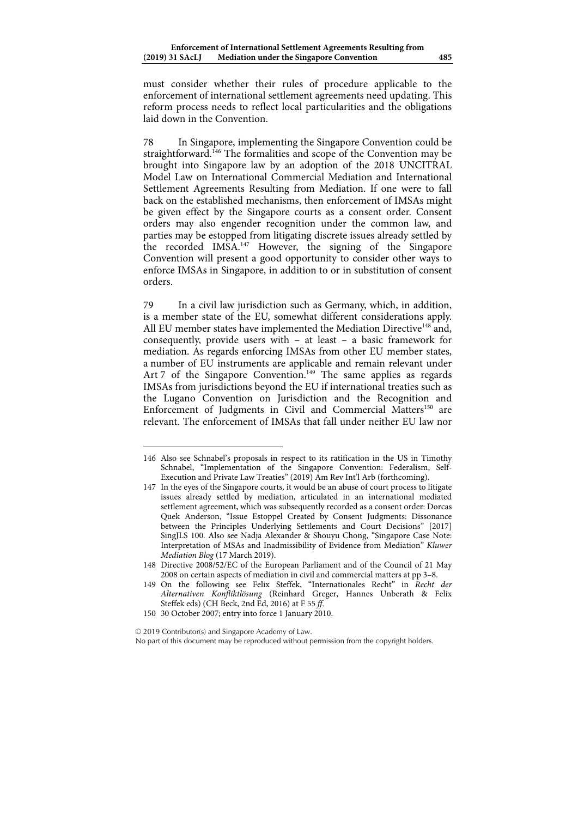must consider whether their rules of procedure applicable to the enforcement of international settlement agreements need updating. This reform process needs to reflect local particularities and the obligations laid down in the Convention.

78 In Singapore, implementing the Singapore Convention could be straightforward.<sup>146</sup> The formalities and scope of the Convention may be brought into Singapore law by an adoption of the 2018 UNCITRAL Model Law on International Commercial Mediation and International Settlement Agreements Resulting from Mediation. If one were to fall back on the established mechanisms, then enforcement of IMSAs might be given effect by the Singapore courts as a consent order. Consent orders may also engender recognition under the common law, and parties may be estopped from litigating discrete issues already settled by the recorded IMSA.147 However, the signing of the Singapore Convention will present a good opportunity to consider other ways to enforce IMSAs in Singapore, in addition to or in substitution of consent orders.

79 In a civil law jurisdiction such as Germany, which, in addition, is a member state of the EU, somewhat different considerations apply. All EU member states have implemented the Mediation Directive<sup>148</sup> and, consequently, provide users with – at least – a basic framework for mediation. As regards enforcing IMSAs from other EU member states, a number of EU instruments are applicable and remain relevant under Art 7 of the Singapore Convention.<sup>149</sup> The same applies as regards IMSAs from jurisdictions beyond the EU if international treaties such as the Lugano Convention on Jurisdiction and the Recognition and Enforcement of Judgments in Civil and Commercial Matters<sup>150</sup> are relevant. The enforcement of IMSAs that fall under neither EU law nor

© 2019 Contributor(s) and Singapore Academy of Law.

<sup>146</sup> Also see Schnabel's proposals in respect to its ratification in the US in Timothy Schnabel, "Implementation of the Singapore Convention: Federalism, Self-Execution and Private Law Treaties" (2019) Am Rev Int'l Arb (forthcoming).

<sup>147</sup> In the eyes of the Singapore courts, it would be an abuse of court process to litigate issues already settled by mediation, articulated in an international mediated settlement agreement, which was subsequently recorded as a consent order: Dorcas Quek Anderson, "Issue Estoppel Created by Consent Judgments: Dissonance between the Principles Underlying Settlements and Court Decisions" [2017] SingJLS 100. Also see Nadja Alexander & Shouyu Chong, "Singapore Case Note: Interpretation of MSAs and Inadmissibility of Evidence from Mediation" *Kluwer Mediation Blog* (17 March 2019).

<sup>148</sup> Directive 2008/52/EC of the European Parliament and of the Council of 21 May 2008 on certain aspects of mediation in civil and commercial matters at pp 3–8.

<sup>149</sup> On the following see Felix Steffek, "Internationales Recht" in *Recht der Alternativen Konfliktlösung* (Reinhard Greger, Hannes Unberath & Felix Steffek eds) (CH Beck, 2nd Ed, 2016) at F 55 *ff*.

<sup>150 30</sup> October 2007; entry into force 1 January 2010.

No part of this document may be reproduced without permission from the copyright holders.